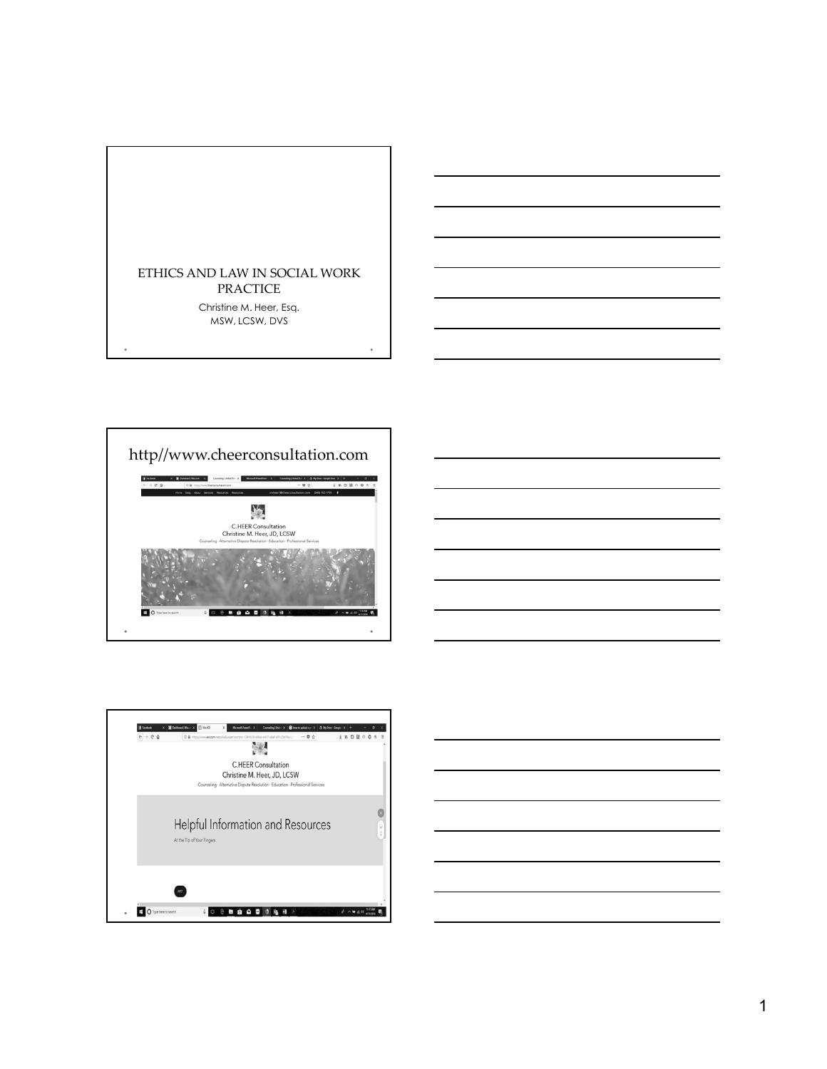







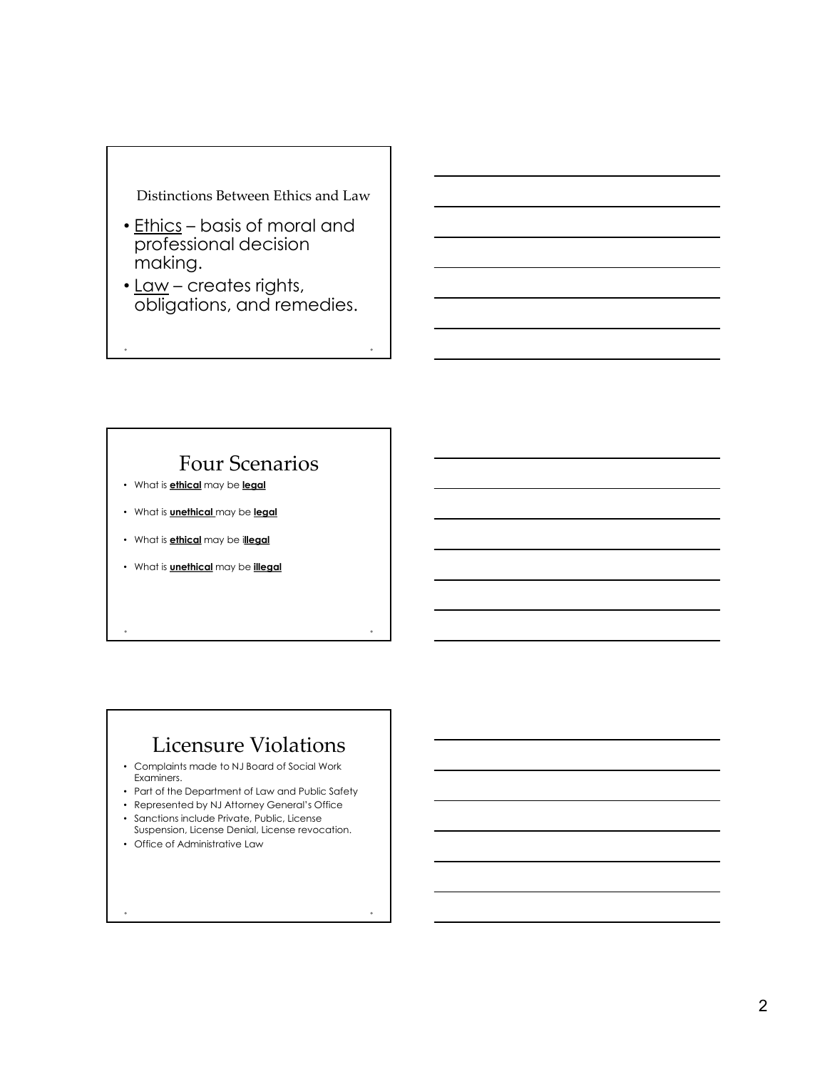

- Distinctions Between Ethics and Law<br>
 <u>Ethics</u> basis of moral and<br>
professional decision<br>
making.<br>
 <u>Law</u> creates rights,<br>
obligations, and remedies. professional decision making. Distinctions Between Ethics and Law<br>
• <u>Ethics</u> – basis of moral and<br>
professional decision<br>
making.<br>
• <u>Law</u> – creates rights,<br>
obligations, and remedies.
- <u>Law</u> creates rights,<br>obligations, and remedies.

# Four Scenarios

- What is **ethical** may be **legal**
- What is **unethical** may be legal
- What is **ethical** may be illegal
- What is **unethical** may be *illegal*

# Licensure Violations

- Complaints made to NJ Board of Social Work Examiners.
- Part of the Department of Law and Public Safety
- Represented by NJ Attorney General's Office
- Sanctions include Private, Public, License
- Suspension, License Denial, License revocation. • Office of Administrative Law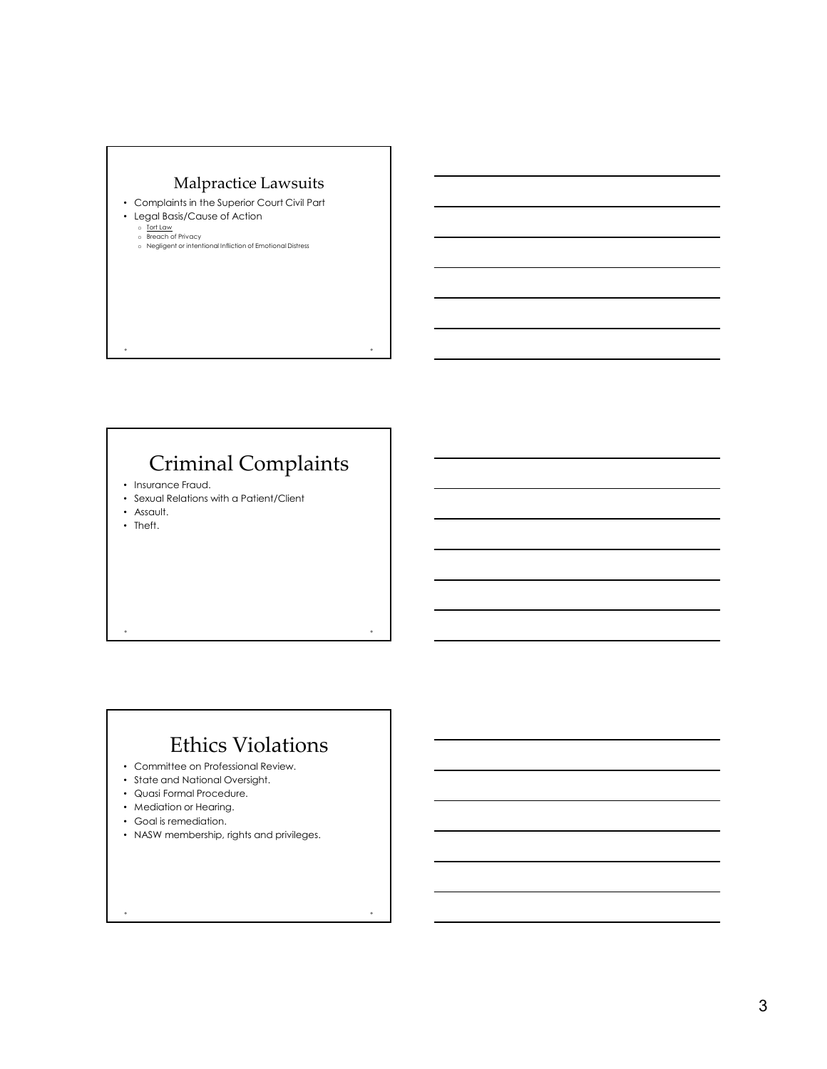

# Criminal Complaints

- Insurance Fraud.
- Sexual Relations with a Patient/Client
- Assault.
- Theft.

# Ethics Violations

- Committee on Professional Review.
- State and National Oversight.
- Quasi Formal Procedure.
- Mediation or Hearing.
- Goal is remediation.
- NASW membership, rights and privileges.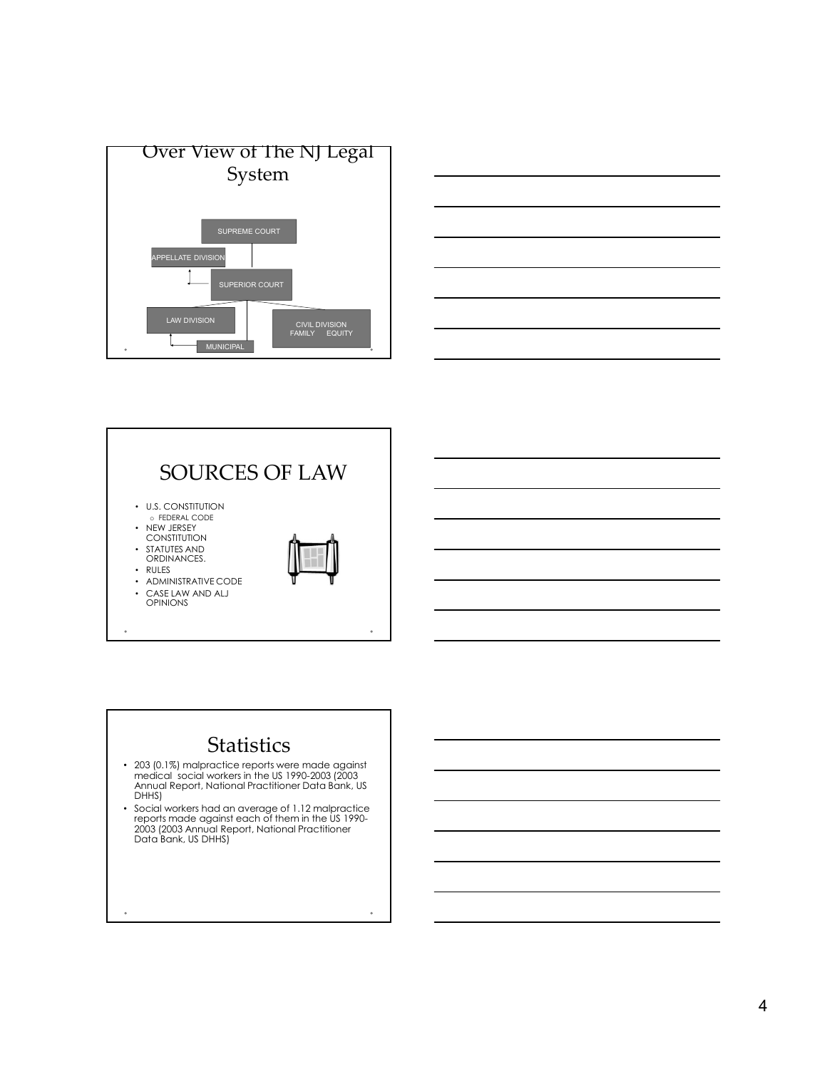





# **Statistics**

- 203 (0.1%) malpractice reports were made against medical social workers in the US 1990-2003 (2003 Annual Report, National Practitioner Data Bank, US DHHS)
- Social workers had an average of 1.12 malpractice reports made against each of them in the US 1990- 2003 (2003 Annual Report, National Practitioner Data Bank, US DHHS)

 $\ddot{\phantom{a}}$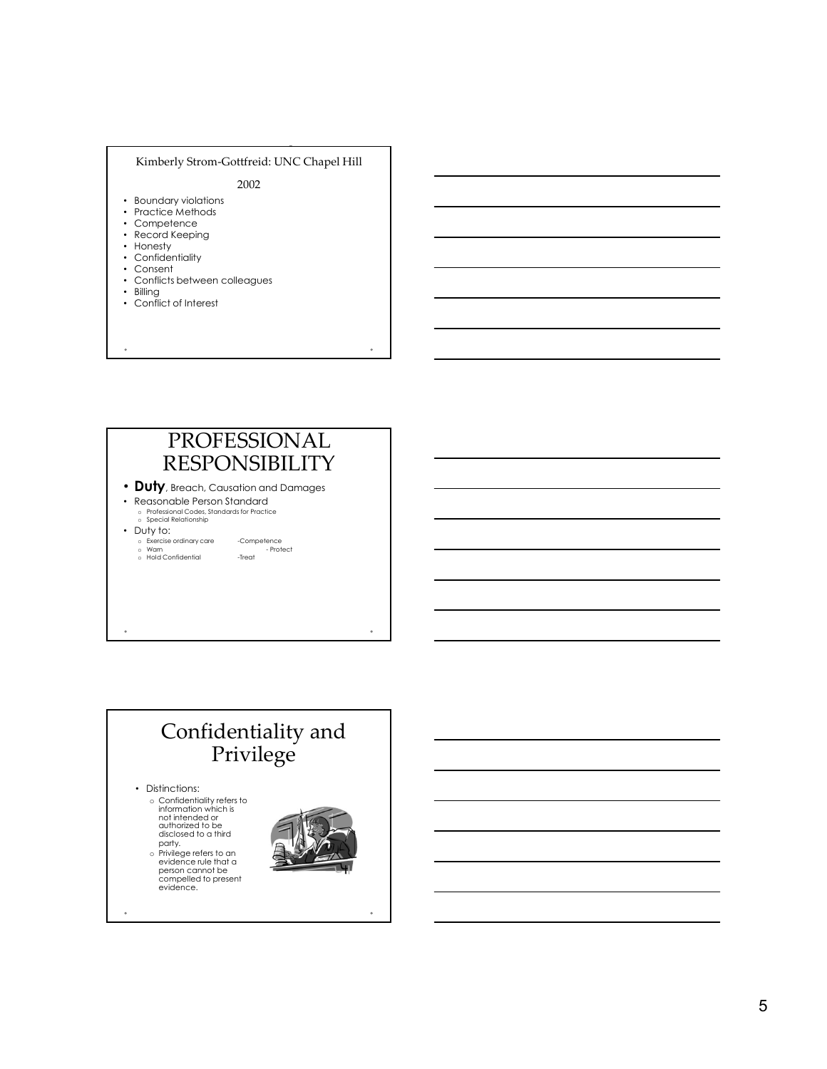### Kimberly Strom-Gottfreid: UNC Chapel Hill

2002

- Boundary violations
- Practice Methods
- Competence
- Record Keeping • Honesty
- Confidentiality
- 

é

- Consent • Conflicts between colleagues
- Billing
- Conflict of Interest
- PROFESSIONAL RESPONSIBILITY • Duty, Breach, Causation and Damages • Reasonable Person Standard o Professional Codes, Standards for Practice of Special Relationship of Special Relationship of Special Relationship<br>o Special Relationship • Duty to: o Exercise Memorial Confidential -<br>Competence ordinary confidential -<br>Competence ordinary competence ordinary competence ordinary competence or<br>Competent - Competence ordinary care -Competence or - Protect ordinary - Prote

# Confidentiality and Privilege • Distinctions: o Confidentiality refers to information which is<br>not intended or disclosed to a third **and the set of the set of the set of the set of the set of the set of the set of the set o**

party.<br>
evidence rule that a<br>
person cannot be<br>
compelled to present<br>
evidence.

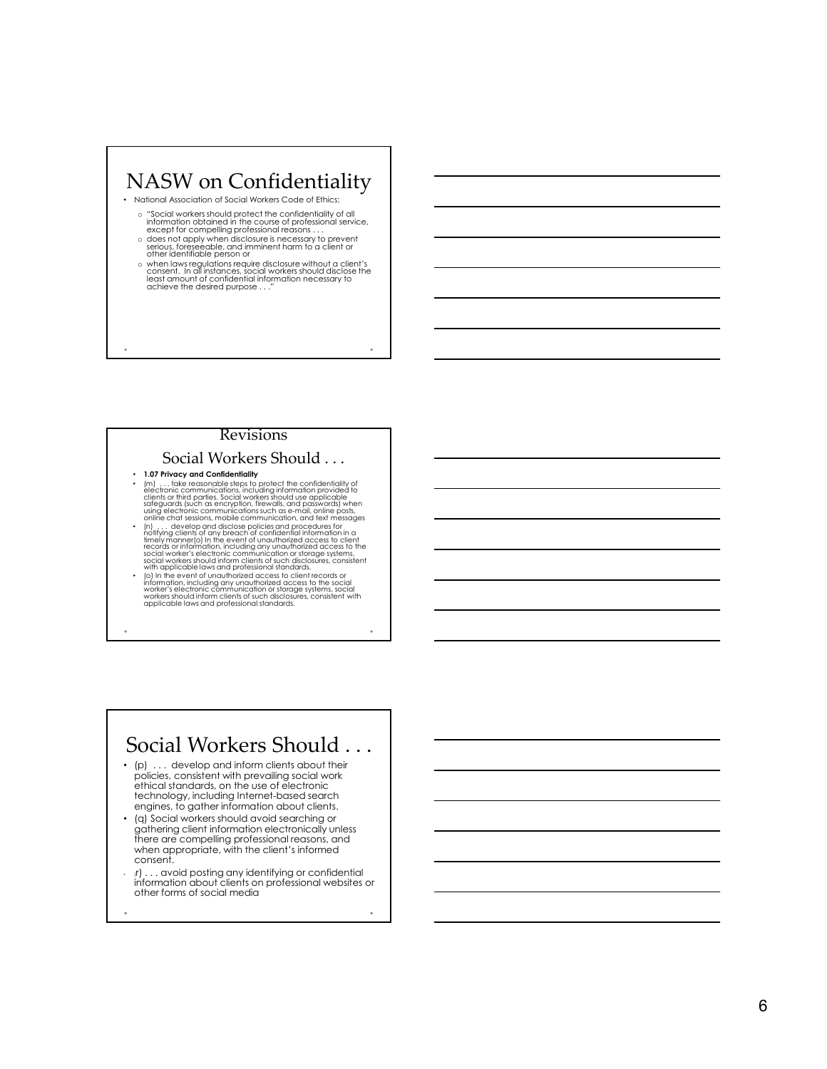# NASW on Confidentiality • National Association of Social Workers Code of Ethics: o "Social workers should protect the confidentiality of all<br>information obtained in the course of professional service,<br>except for compelling professional reasons . . .<br>o does not apply when disclosure is necessary to prev serious, foreseeable, and imminent harm to a client or other identifiable person or o when laws regulations require disclosure without a client's consent. In all instances, social workers should disclose the consent. In all instances, social workers should disclose the least amount of confidential informa achieve the desired purpose . . ."

### Revisions

### Social Workers Should . . .

- 
- 1.07 Privacy and Confidentiality<br>• (m) ... take reasonable steps to protect the confidentiality of<br>electronic communications, including information provided to<br>clients or third parties. Social workers should use applicab using electronic communications such as e-mail, online posts, online chat sessions, mobile communication, and text messages
- (n) . . . develop and disclose policies and procedures for<br>notifying clients of any breach of confidential information in a<br>timely manner(o) In the event of unauthorized access to client<br>records or information, including social worker's electronic communication or storage systems,<br>social workers should inform clients of such disclosures, consistent<br>with applicable laws and professional standards.
- (c) In the event of unauthorized access to client records or<br>information, including any unauthorized access to the social<br>worker's electronic communication or storage systems, social<br>workers should inform clients of such

# Social Workers Should . . .

- (p) ... develop and inform clients about their policies, consistent with prevailing social work ethical standards, on the use of electronic technology, including Internet-based search engines, to gather information about clients.
- (q) Social workers should avoid searching or gathering client information electronically unless there are compelling professional reasons, and when appropriate, with the client's informed consent.
- (r) . . . avoid posting any identifying or confidential information about clients on professional websites or other forms of social media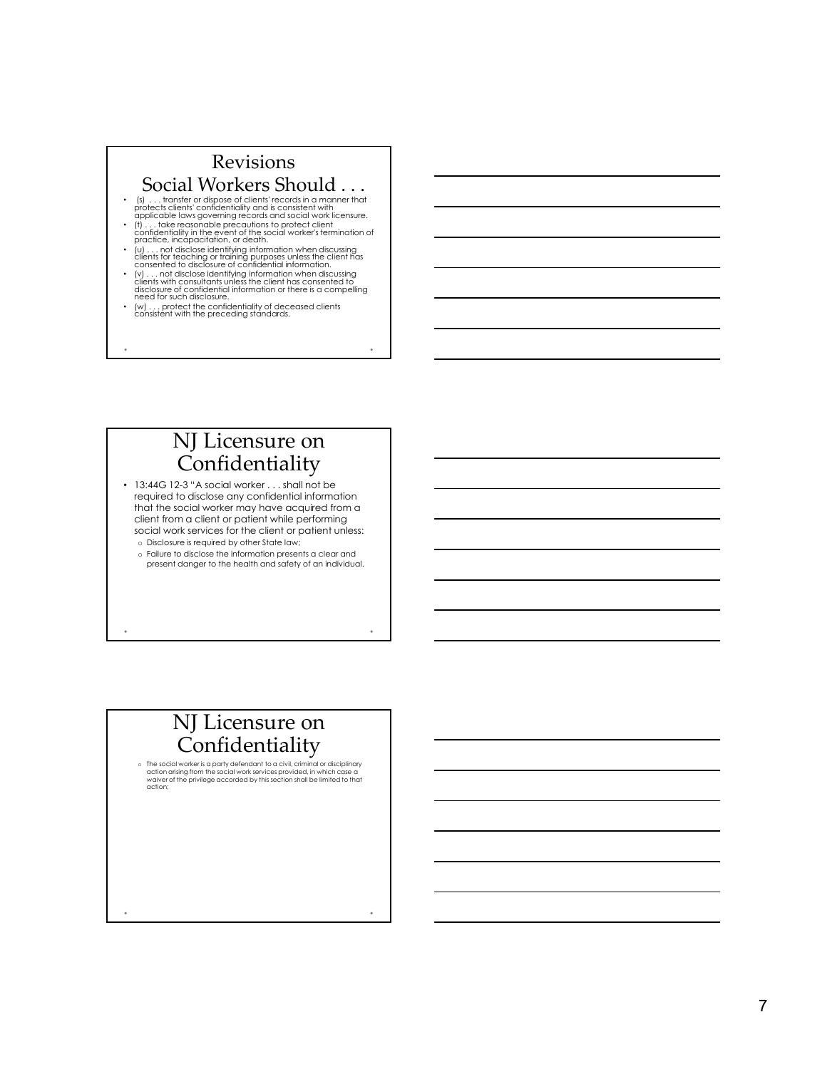# Revisions Social Workers Should . . .

- (s) . . . transfer or dispose of clients' records in a manner that<br>protects clients' contidentiality and is consistent with<br>applicable laws governing records and social work licensure.<br>• (t) . . . take reasonable precaut
- 
- (u) . . . not disclose identifying information when discussing clients for teaching or training purposes unless the client has consented to disclosure of confidential information.
- (v) . . . not disclose identifying information when discussing<br>clients with consultants unless the client has consented to disclosure of confidential information or there is a compelling need for such disclosure.
- (w) . . . protect the confidentiality of deceased clients consistent with the preceding standards.

# NJ Licensure on Confidentiality

• 13:44G 12-3 "A social worker . . . shall not be required to disclose any confidential information that the social worker may have acquired from a client from a client or patient while performing social work services for the client or patient unless: o Disclosure is required by other State law;

o Failure to disclose the information presents a clear and present danger to the health and safety of an individual.

# NJ Licensure on  $\label{eq:concl} \textbf{Confidentiality} \ \textcolor{red}{\sum_{\textit{The social workers is a party defendant to a civil, criminal or disciplinary}} }$

 $\circ$  The social worker is a party defendant to a civil, criminal or disciplinary action arising from the social work services provided, in which case a  $\overline{\phantom{a}}$ waiver of the privilege accorded by this section shall be limited to that<br>action;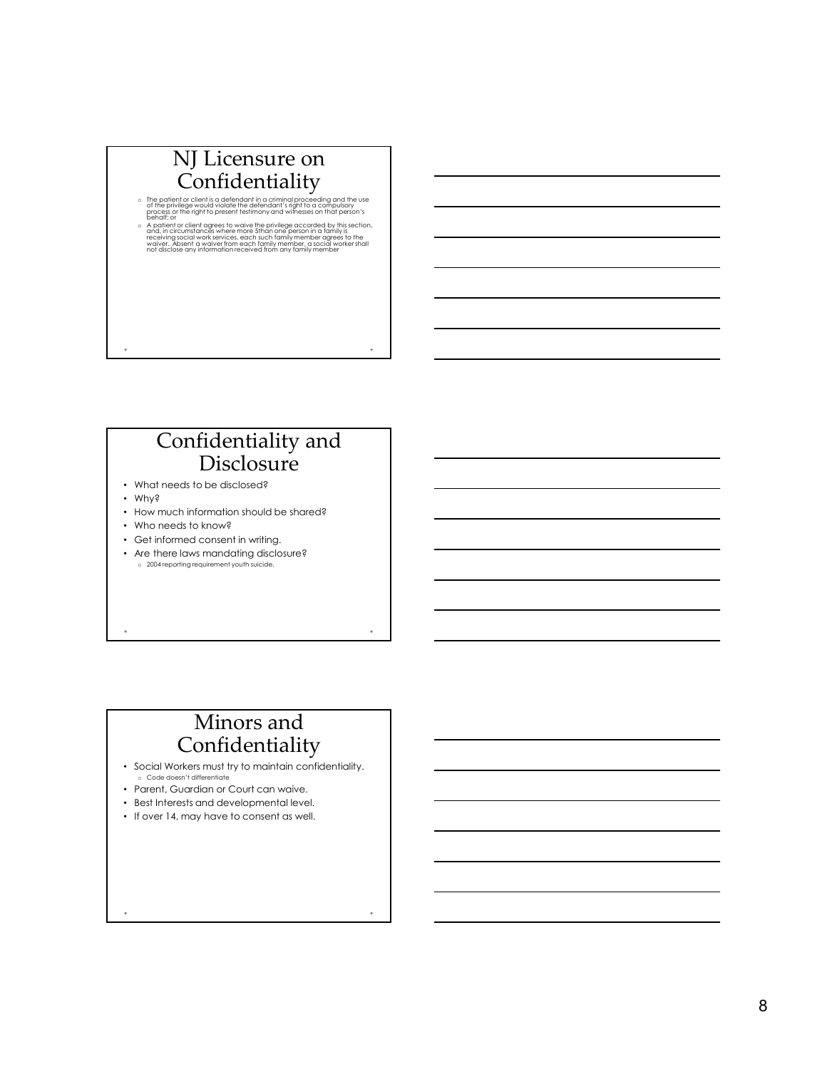# NJ Licensure on Confidentiality

- $\circ$  The patient or client is a defendant in a criminal proceeding and the use of the privilege would violate the defendant's right to a compulsory process or the right to present testimony and witnesses on that person's<br>behalf; or
- A patient or client agrees to waive the privilege accorded by this section, and, in circumstances where more 5than one person in a family is<br>receiving social work services, each such family member agrees to the<br>receiving

# Confidentiality and **Disclosure**

- What needs to be disclosed?
- Why?
- How much information should be shared?
- Who needs to know?
- Get informed consent in writing.
- Are there laws mandating disclosure? o 2004 reporting requirement youth suicide.

# Minors and Confidentiality

- Social Workers must try to maintain confidentiality. o Code doesn't differentiate
- Parent, Guardian or Court can waive.
- Best Interests and developmental level.
- If over 14, may have to consent as well.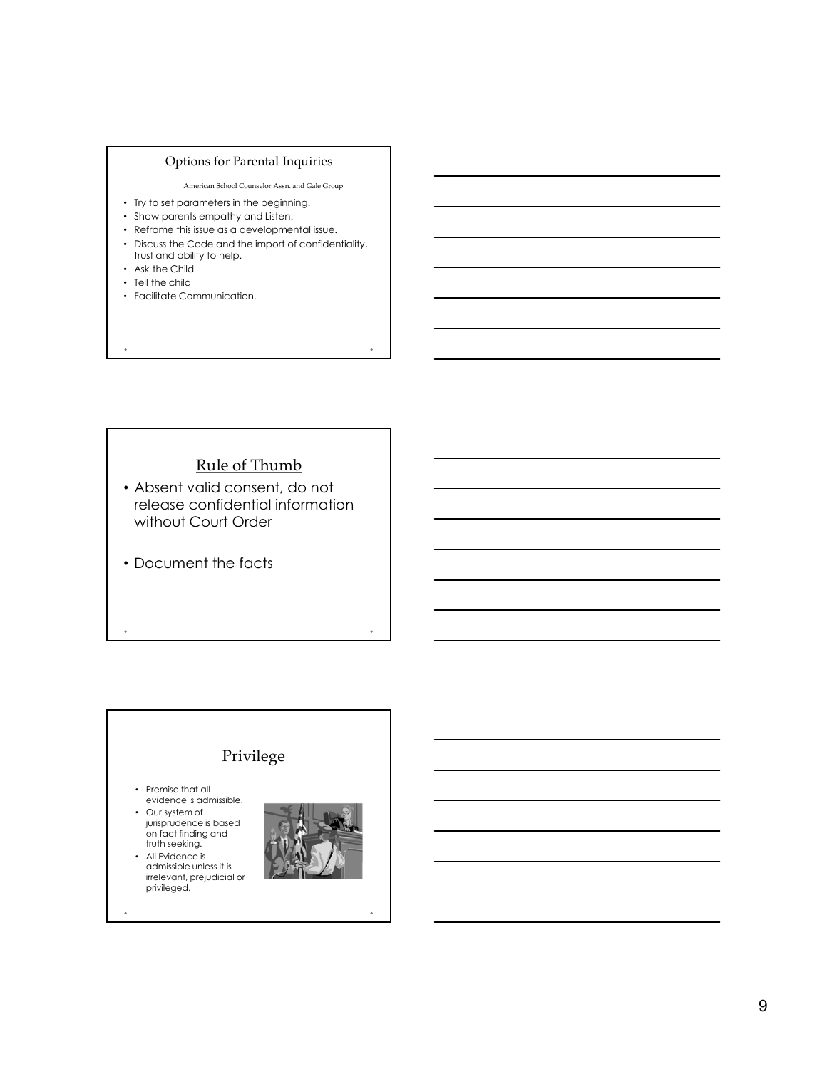### Options for Parental Inquiries

American School Counselor Assn. and Gale Group

- Try to set parameters in the beginning.
- Show parents empathy and Listen.
- Reframe this issue as a developmental issue.
- Discuss the Code and the import of confidentiality, trust and ability to help. • Ask the Child
- Tell the child
- Facilitate Communication.

Rule of Thumb

- Absent valid consent, do not release confidential information without Court Order
- Document the facts

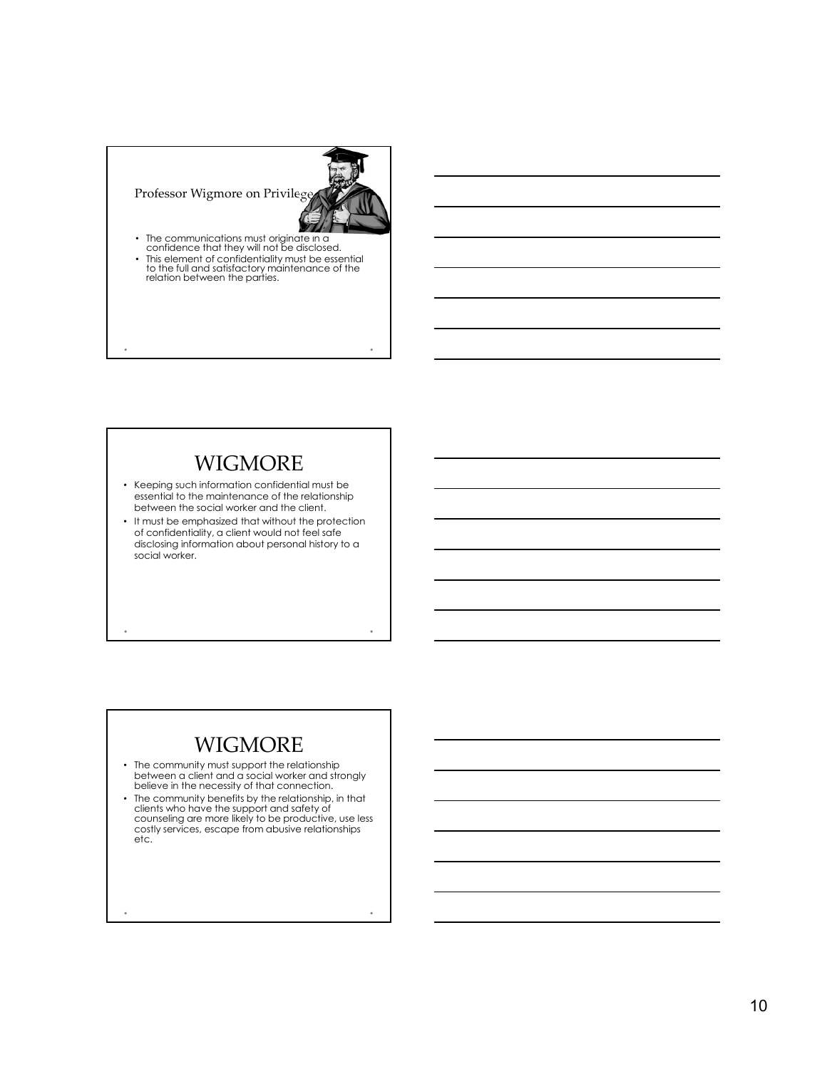

# **WIGMORE**

- Keeping such information confidential must be essential to the maintenance of the relationship between the social worker and the client.
- It must be emphasized that without the protection of confidentiality, a client would not feel safe disclosing information about personal history to a social worker.

# **WIGMORE**

- The community must support the relationship between a client and a social worker and strongly believe in the necessity of that connection.
- The community benefits by the relationship, in that clients who have the support and safety of counseling are more likely to be productive, use less costly services, escape from abusive relationships etc.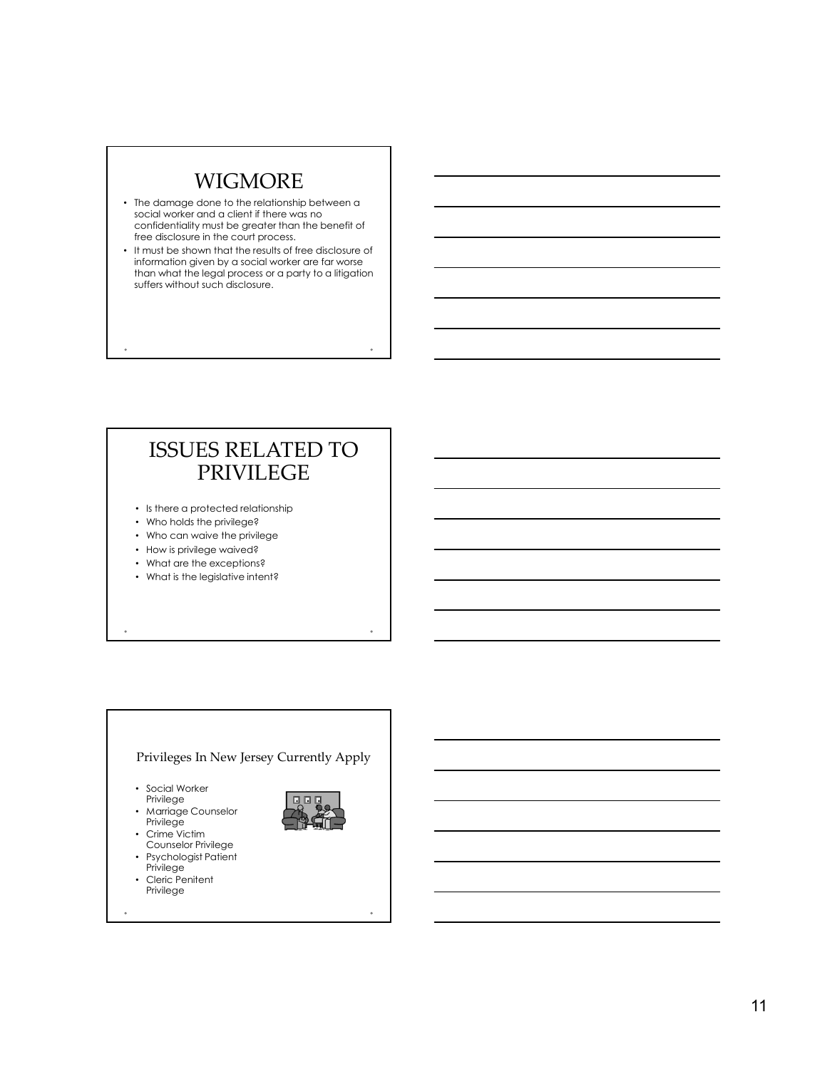# **WIGMORE**

- The damage done to the relationship between a social worker and a client if there was no confidentiality must be greater than the benefit of free disclosure in the court process.
- It must be shown that the results of free disclosure of information given by a social worker are far worse than what the legal process or a party to a litigation suffers without such disclosure.

# ISSUES RELATED TO PRIVILEGE

- Is there a protected relationship
- Who holds the privilege?
- Who can waive the privilege
- How is privilege waived?
- What are the exceptions?
- What is the legislative intent?

# Privileges In New Jersey Currently Apply • Social Worker Privilege • Marriage Counselor Privilege • Crime Victim Counselor Privilege • Psychologist Patient Privilege • Cleric Penitent Privilege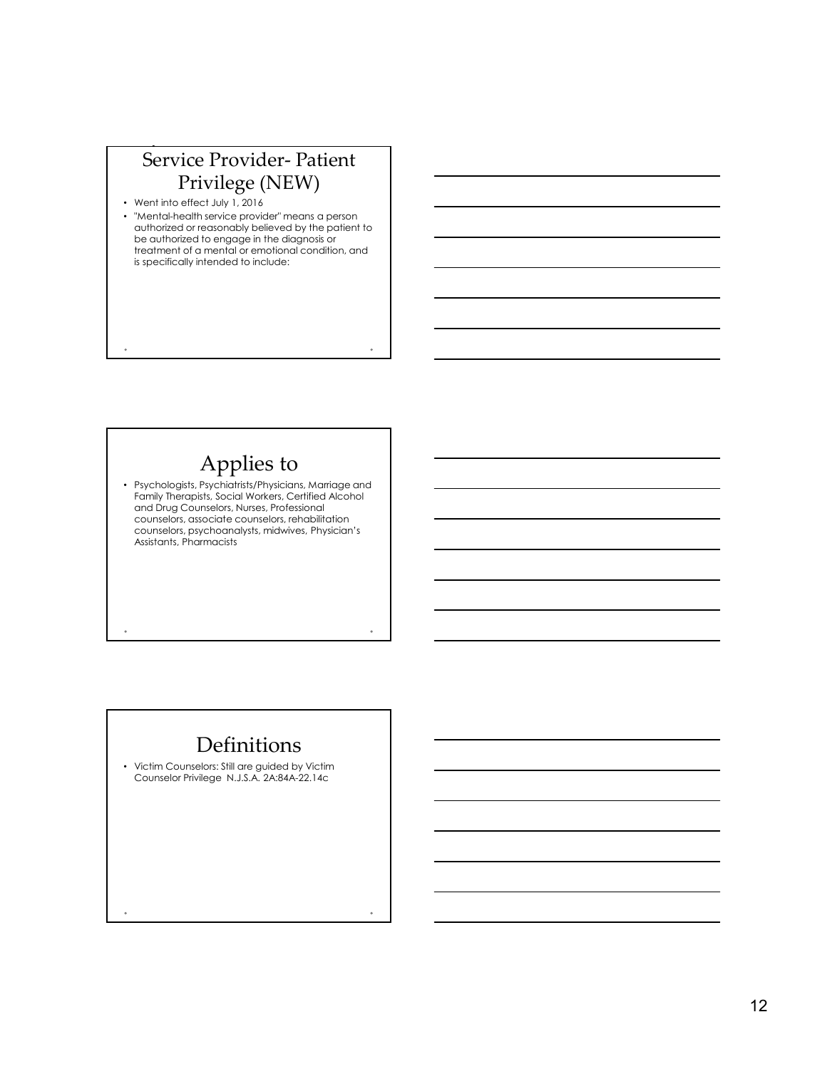# Privilege (NEW)

N.J.R.E. 534. Mental Health (1988). Mental Health (1988). Mental Health (1988).

- Went into effect July 1, 2016
- Service Provider- Patient<br>
Privilege (NEW)<br>
entimbe effect July 1, 2016<br>
entimbe distribution service provider means a person<br>
distribution or expositely believed by the patient for<br>
equitorized to engage in the diagnosis • "Mental-health service provider" means a person authorized or reasonably believed by the patient to be authorized to engage in the diagnosis or  $\overline{\phantom{a}}$ treatment of a mental or emotional condition, and is specifically intended to include:

# Applies to

• Psychologists, Psychiatrists/Physicians, Marriage and Family Therapists, Social Workers, Certified Alcohol and Drug Counselors, Nurses, Professional counselors, associate counselors, rehabilitation counselors, psychoanalysts, midwives, Physician's Assistants, Pharmacists

# Definitions

• Victim Counselors: Still are guided by Victim Counselor Privilege N.J.S.A. 2A:84A-22.14c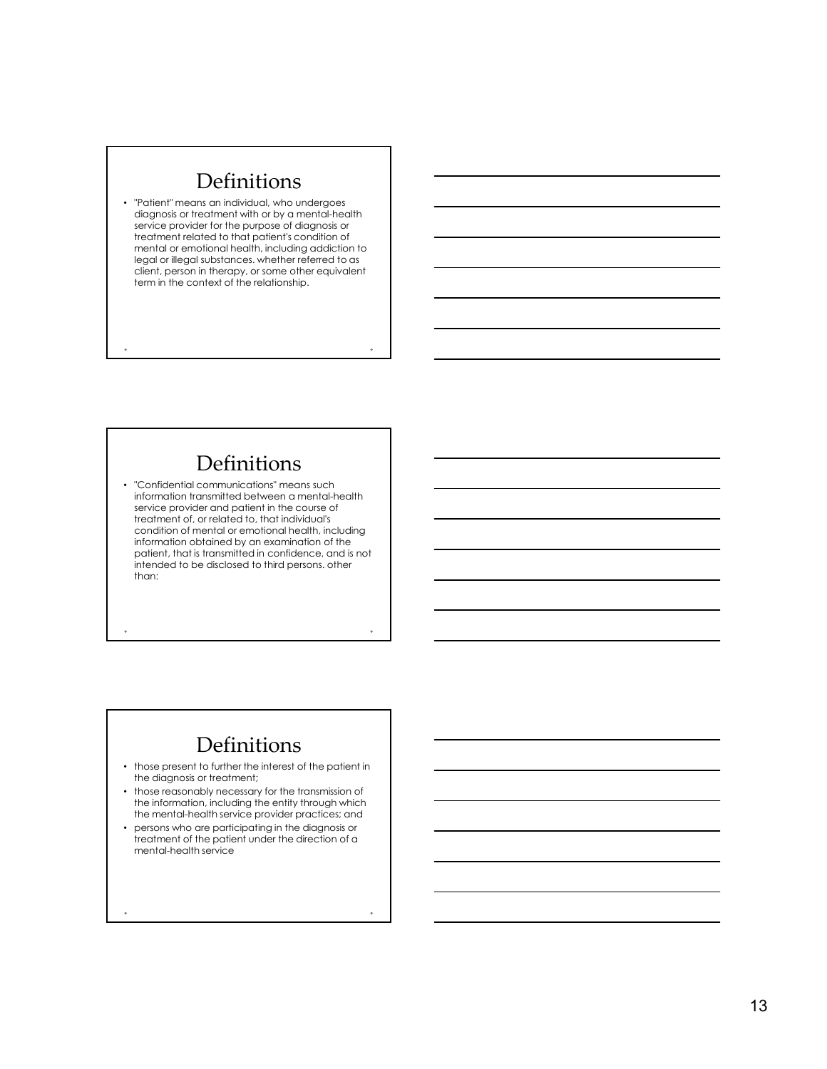# Definitions

• "Patient" means an individual, who undergoes diagnosis or treatment with or by a mental-health service provider for the purpose of diagnosis or treatment related to that patient's condition of mental or emotional health, including addiction to legal or illegal substances. whether referred to as client, person in therapy, or some other equivalent term in the context of the relationship.

# Definitions

• "Confidential communications" means such information transmitted between a mental-health service provider and patient in the course of treatment of, or related to, that individual's condition of mental or emotional health, including information obtained by an examination of the patient, that is transmitted in confidence, and is not intended to be disclosed to third persons. other than:

# Definitions

- those present to further the interest of the patient in the diagnosis or treatment;
- those reasonably necessary for the transmission of the information, including the entity through which the mental-health service provider practices; and
- persons who are participating in the diagnosis or treatment of the patient under the direction of a mental-health service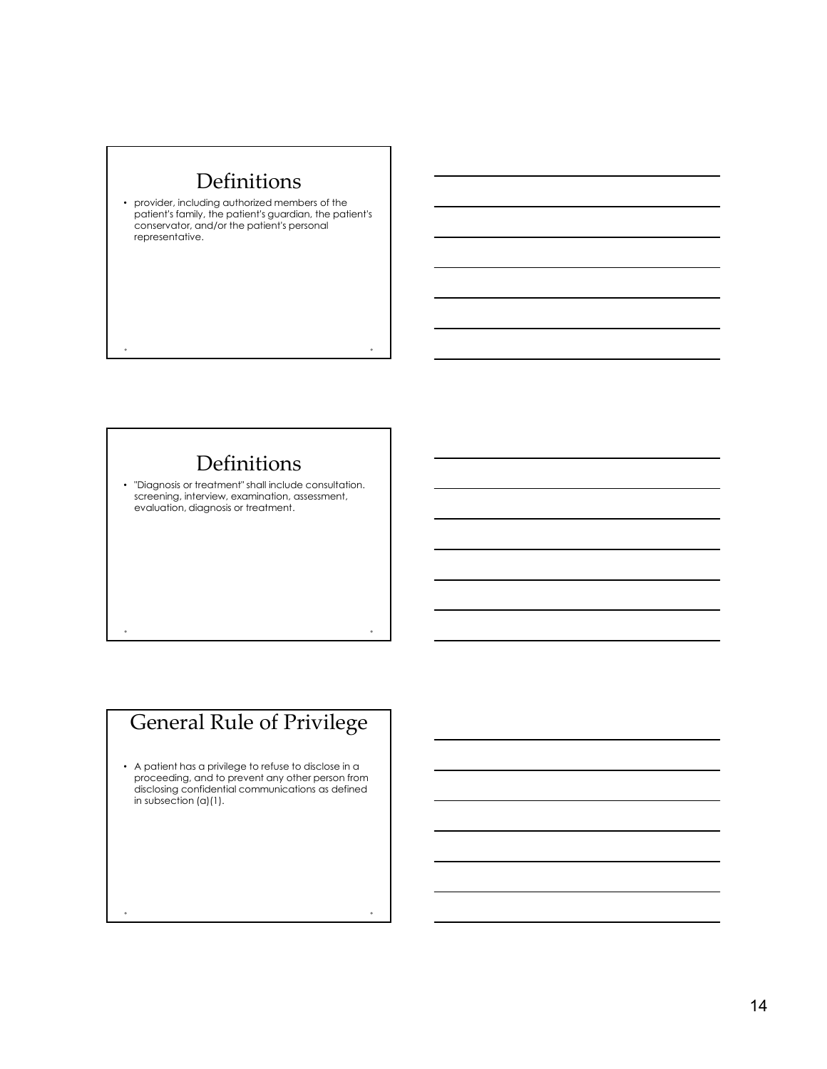# Definitions

• provider, including authorized members of the patient's family, the patient's guardian, the patient's conservator, and/or the patient's personal representative.

# Definitions

• "Diagnosis or treatment" shall include consultation. screening, interview, examination, assessment, evaluation, diagnosis or treatment.

# General Rule of Privilege

• A patient has a privilege to refuse to disclose in a proceeding, and to prevent any other person from disclosing confidential communications as defined in subsection (a)(1).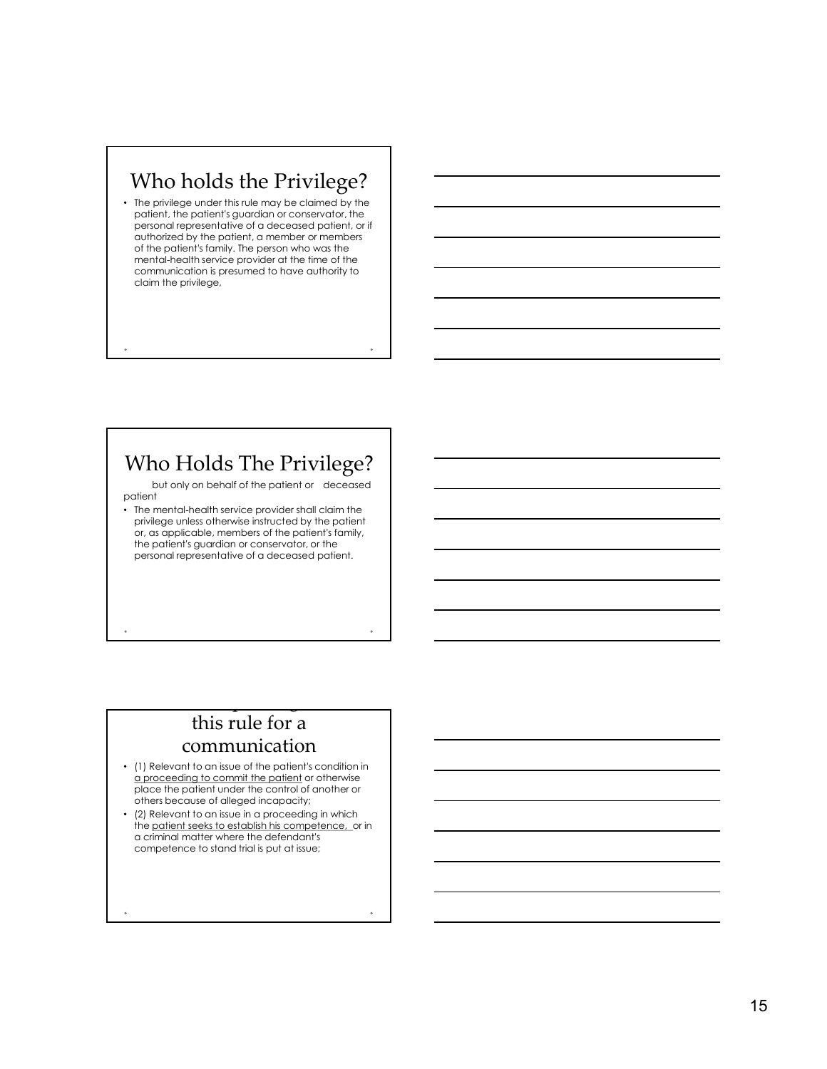# Who holds the Privilege?

• The privilege under this rule may be claimed by the patient, the patient's guardian or conservator, the personal representative of a deceased patient, or if authorized by the patient, a member or members of the patient's family. The person who was the mental-health service provider at the time of the communication is presumed to have authority to claim the privilege,

# Who Holds The Privilege?

but only on behalf of the patient or deceased patient

• The mental-health service provider shall claim the privilege unless otherwise instructed by the patient or, as applicable, members of the patient's family, the patient's guardian or conservator, or the personal representative of a deceased patient. Vho Holds The Privilege?<br>
but only on behalf of the patient or occessed<br>
thermentecheeding transition committed by the politicial<br>confidered in such that particles in the patient standard from the patient<br>of the patients

# this rule for a communication

There is no privilege under the privilege under the privilege under the privilege under the privilege under the

- (1) Relevant to an issue of the patient's condition in place the patient under the control of another or others because of alleged incapacity;
- (2) Relevant to an issue in a proceeding in which the patient seeks to establish his competence, or in a criminal matter where the defendant's competence to stand trial is put at issue;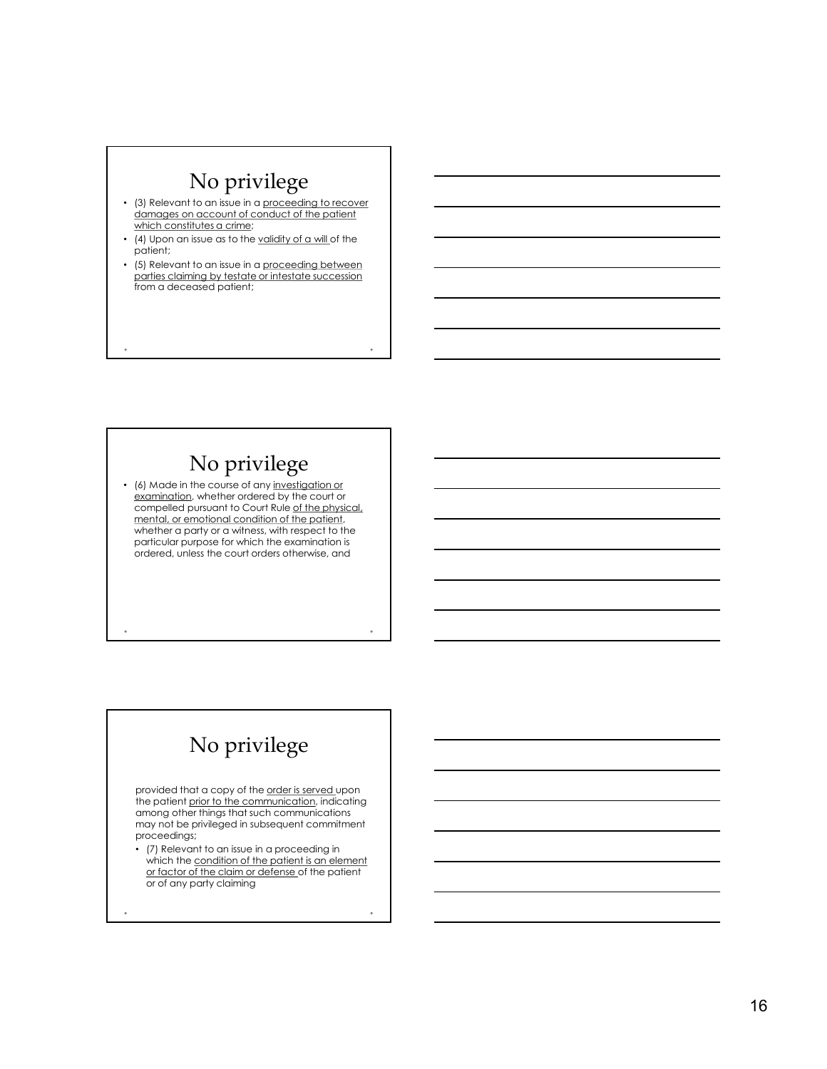# No privilege

- (3) Relevant to an issue in a proceeding to recover damages on account of conduct of the patient which constitutes a crime;
- (4) Upon an issue as to the validity of a will of the patient;
- $\bullet$  (5) Relevant to an issue in a proceeding between  $\qquad \qquad$   $\qquad \qquad$   $\qquad \qquad$ parties claiming by testate or intestate succession from a deceased patient;

# No privilege

• (6) Made in the course of any investigation or examination, whether ordered by the court or compelled pursuant to Court Rule of the physical, mental, or emotional condition of the patient, whether a party or a witness, with respect to the particular purpose for which the examination is ordered, unless the court orders otherwise, and

# No privilege

provided that a copy of the order is served upon the patient prior to the communication, indicating among other things that such communications may not be privileged in subsequent commitment proceedings;

• (7) Relevant to an issue in a proceeding in which the condition of the patient is an element or factor of the claim or defense of the patient or of any party claiming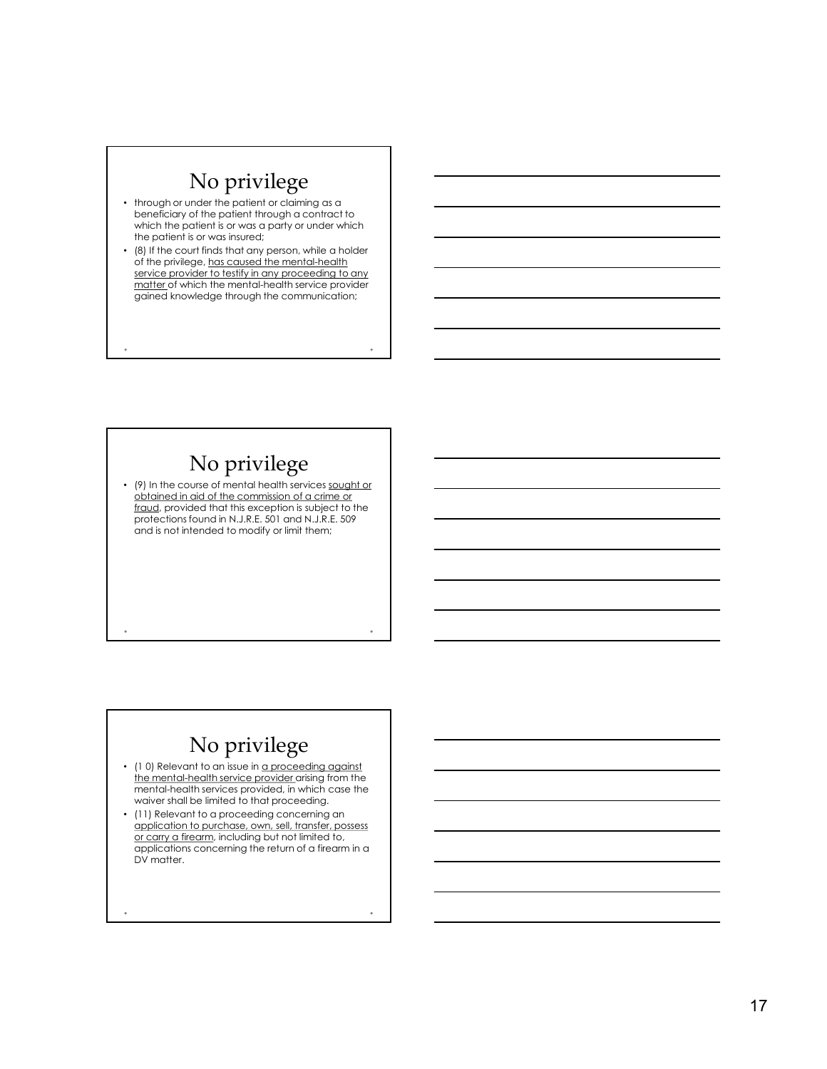# No privilege

- through or under the patient or claiming as a beneficiary of the patient through a contract to which the patient is or was a party or under which the patient is or was insured;
- (8) If the court finds that any person, while a holder of the privilege, has caused the mental-health service provider to testify in any proceeding to any matter of which the mental-health service provider gained knowledge through the communication;

# No privilege

• (9) In the course of mental health services sought or obtained in aid of the commission of a crime or fraud, provided that this exception is subject to the protections found in N.J.R.E. 501 and N.J.R.E. 509 and is not intended to modify or limit them;

# No privilege

- (10) Relevant to an issue in a proceeding against the mental-health service provider arising from the mental-health services provided, in which case the waiver shall be limited to that proceeding.
- (11) Relevant to a proceeding concerning an<br>application to purchase, own, sell, transfer, possess (9) In the correct metal of the control of the control of the control of the control of the control of the control of the control of the control of the control of the control of the control of the control of the control o (9) the course of mental heading series sought of the commission of a crime of the first denoted that the series of protections a subject to the protections of protections and protections of the protections of the commiss applications concerning the return of a firearm in a DV matter.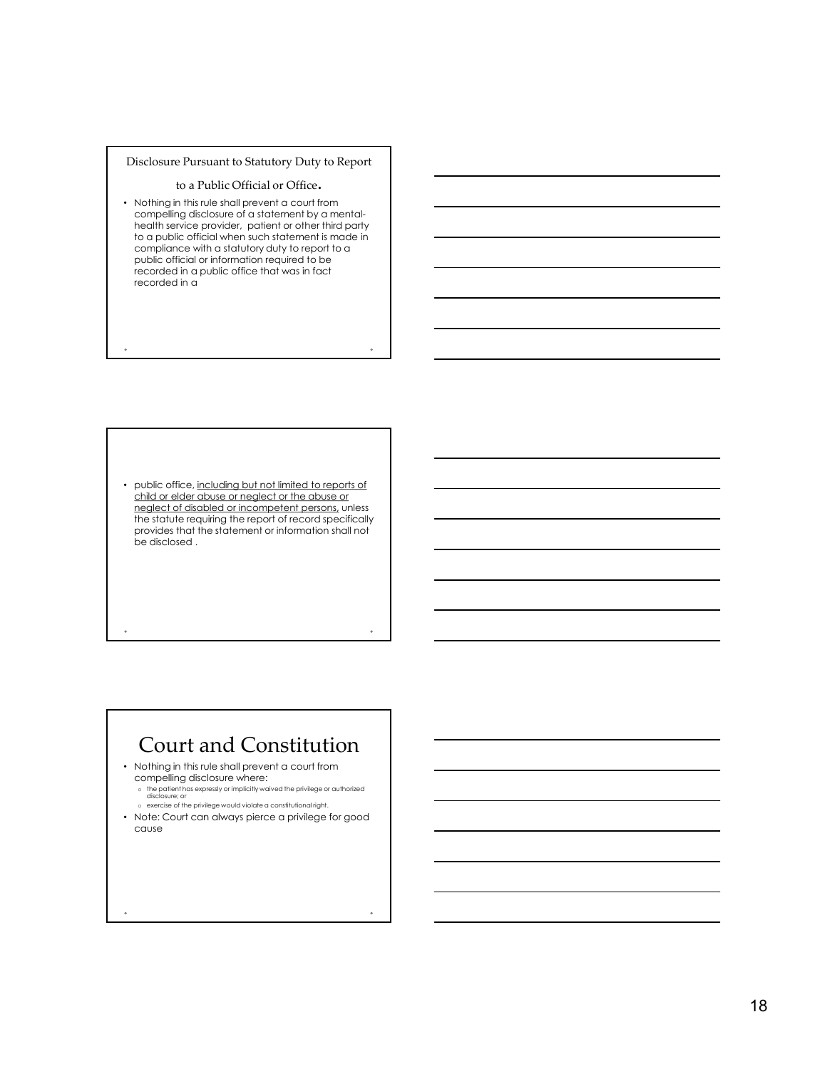### Disclosure Pursuant to Statutory Duty to Report

### to a Public Official or Office.

• Nothing in this rule shall prevent a court from compelling disclosure of a statement by a mentalhealth service provider, patient or other third party to a public official when such statement is made in compliance with a statutory duty to report to a public official or information required to be recorded in a public office that was in fact recorded in a isclosure Pursuant to Statutory Duty to Report<br>
to a Publisic Official or Officer.<br>
Nelhing in this two short forces or of disable and the orientation<br>
competing disclosure for orientative ratio orientative competent perso

• public office, including but not limited to reports of child or elder abuse or neglect or the abuse or<br>neglect of disabled or incompetent persons, unless the statute requiring the report of record specifically provides that the statement or information shall not be disclosed .

# Court and Constitution

• Nothing in this rule shall prevent a court from compelling disclosure where: <sup>o</sup> the patient has expressly or implicitly waived the privilege or authorized disclosure; or

o exercise of the privilege would violate a constitutional right.

• Note: Court can always pierce a privilege for good cause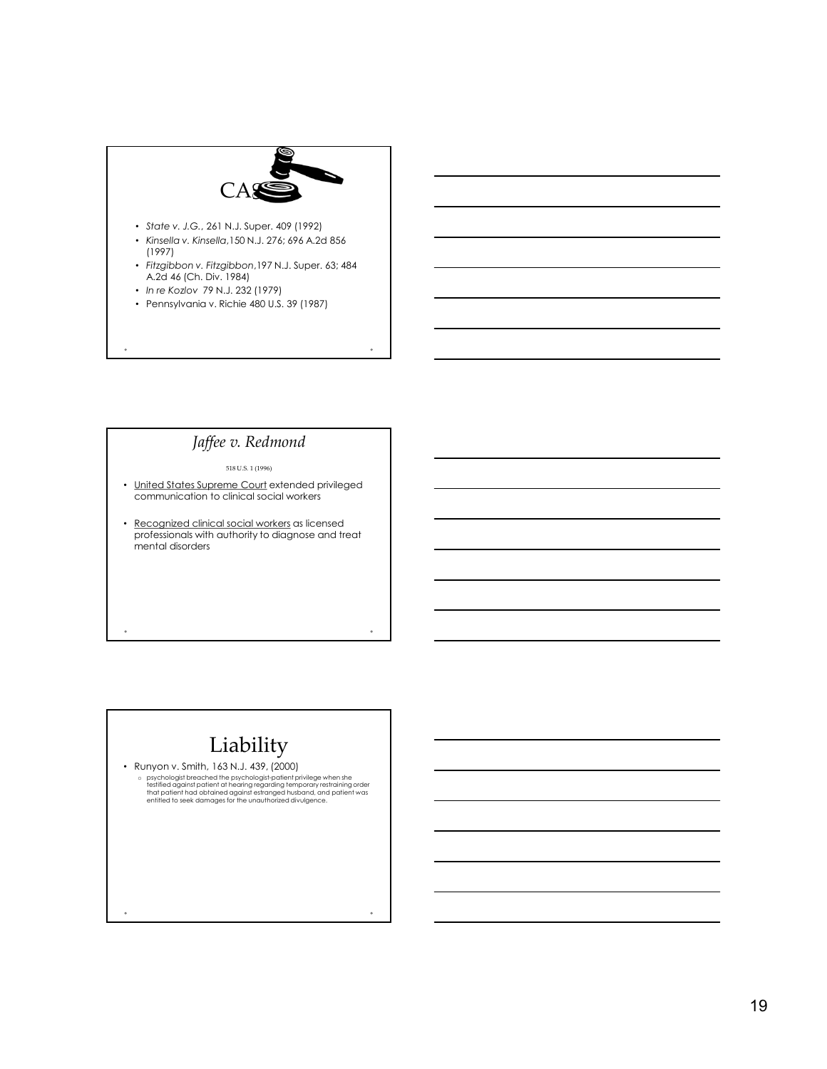

### Jaffee v. Redmond

518 U.S. 1 (1996)

- communication to clinical social workers
- professionals with authority to diagnose and treat mental disorders

# Liability

• Runyon v. Smith, 163 N.J. 439, (2000) p psychologist breached the psychologist-patient privilege when she<br>testified against patient at hearing regarding temporary restraining order<br>that patient had obtained against estranged husband, and patient was<br>entitled t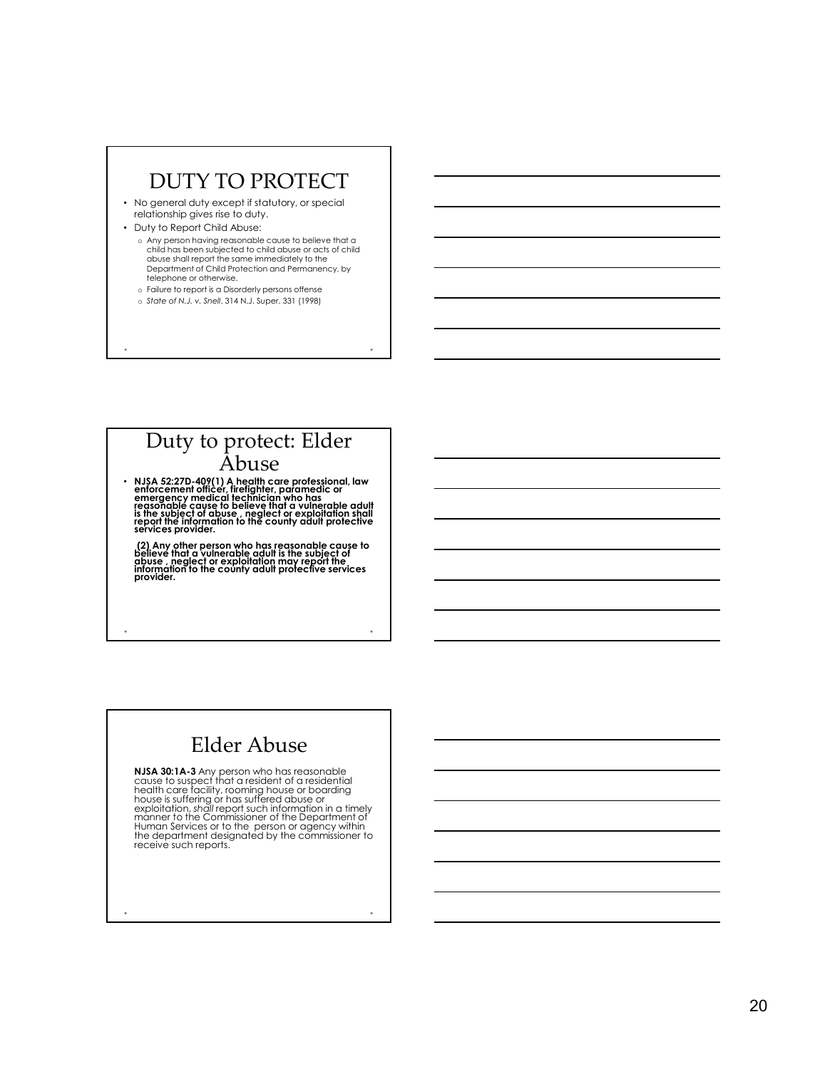# DUTY TO PROTECT

- No general duty except if statutory, or special relationship gives rise to duty.
- Duty to Report Child Abuse: o Any person having reasonable cause to believe that a child has been subjected to child abuse or acts of child abuse shall report the same immediately to the  $\Box$  . The partment of Child Protection and Permanency, by telephone or otherwise.
	- o Failure to report is a Disorderly persons offense o State of N.J. v. Snell, 314 N.J. Super. 331 (1998)

# Duty to protect: Elder Abuse

• NJSA 52:27D-409(1) A health care professional, law<br>enforcement officer, firefighter, paramedic or<br>emergency medical technician who has<br>reasonable cause to believe that a vulnerable adult is the subject of abuse , neglect or exploitation shall<br>report the information to the county adult protective<br>services provider.

(2) Any other person who has reasonable cause to believe that a vulnerable advisor to be<br>believe that a vulnerable adult is the subject of<br>abuse , neglect or exploitation may report the information to the county adult protective services<br>provider.

# Elder Abuse

**NJSA 30:1A-3** Any person who has reasonable<br>cause to suspect that a resident of a residential<br>health care facility, rooming house is reading or has suffered above or<br>exploitation, shall report such information in a timely NEA 52227-49911) A health care protestional law<br>enforcement official technical region ends on the control of the subject of the control of the control of the control of the control of the control of the control of the cont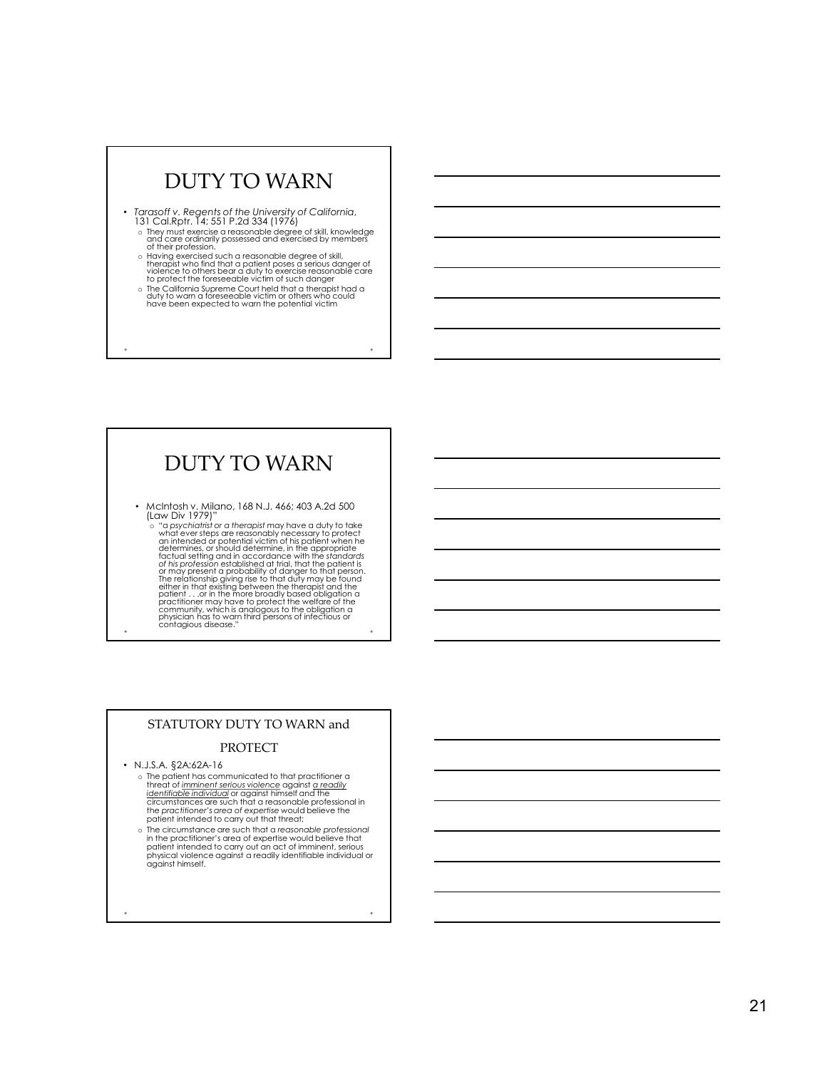# DUTY TO WARN

- Tarasoff v. Regents of the University of California, 131 Cal.Rptr. 14; 551 P.2d 334 (1976)
	- o They must exercise a reasonable degree of skill, knowledge<br>and care ordinarily possessed and exercised by members<br>of their profession.
	- of their profession.<br>
	a Having exercised such a reasonable degree of skill,<br>
	therapist who find that a patient poses a serious danger of<br>
	violence to others bear a cluty to exercise reasonable care<br>
	to protect the foreseea
	-

# DUTY TO WARN

• McIntosh v. Milano, 168 N.J. 466; 403 A.2d 500 (Law Div 1979)"

o "a psychiatrist or a therapist may have a duty to take<br>what ever steps are reasonably necessary to protect<br>an intended or potential victim of his patient when he<br>determines, or should determine, in the appropriate<br>factua or may present a probability of danger to that person.<br>The relationship giving rise to that duty may be found<br>either in that existing between the therapist and the<br>practitioner may have to protect the welfare of the<br>practi community, which is analogous to the obligation a<br>physician has to warn third persons of infectious or<br>contagious disease."

### STATUTORY DUTY TO WARN and

### PROTECT

### • N.J.S.A. §2A:62A-16

- o The patient has communicated to that practitioner a threat of <u>imminent serious violence</u> against <u>a readily</u><br>i<u>dentifiable individual</u> or against himself and the<br>circumstances are such that a reasonable professional in<br>the practitioner's area of expertise would believe the the practitioner's area of expertise would believe the patient intended to carry out that threat;
- o The circumstance are such that a reasonable professional in the practitioner's area of expertise would believe that patient intended to carry out an act of imminent, serious<br>physical violence against a readily identifiable individual or<br>against himself.

21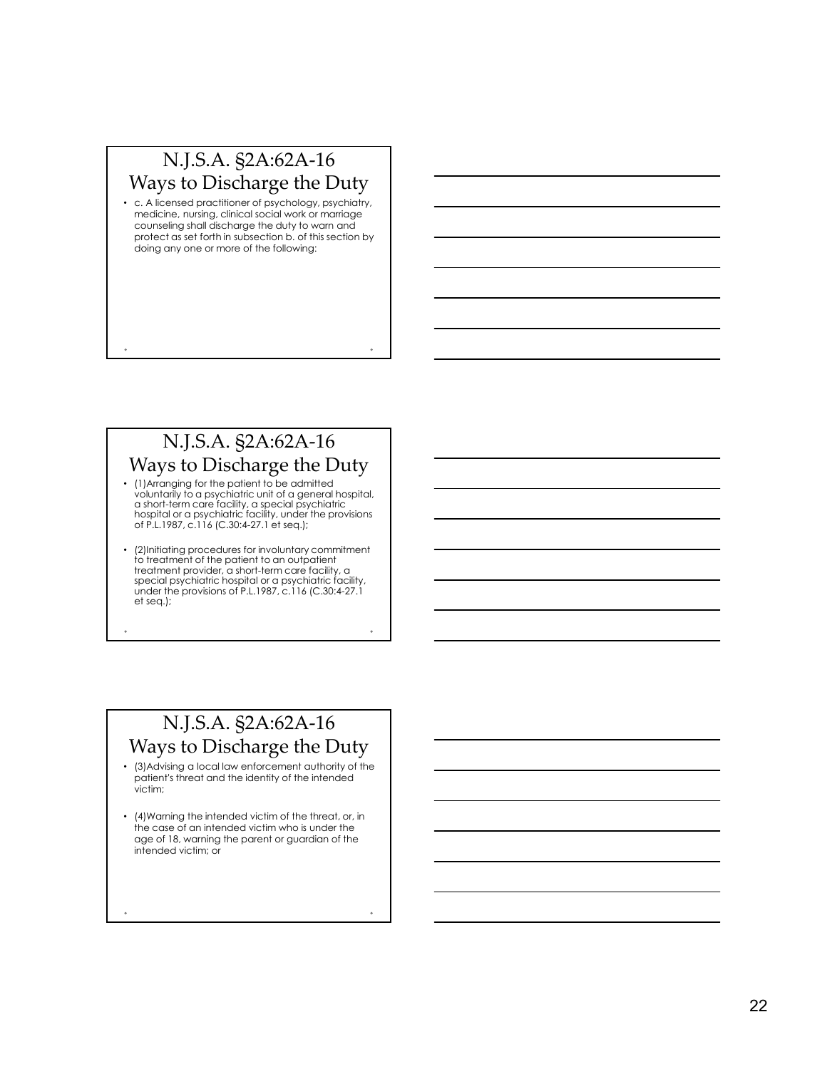# N.J.S.A. §2A:62A-16 Ways to Discharge the Duty

• c. A licensed practitioner of psychology, psychiatry, medicine, nursing, clinical social work or marriage counseling shall discharge the duty to warn and protect as set forth in subsection b. of this section by doing any one or more of the following:

# N.J.S.A. §2A:62A-16 Ways to Discharge the Duty

- (1)Arranging for the patient to be admitted voluntarily to a psychiatric unit of a general hospital, a short-term care facility, a special psychiatric hospital or a psychiatric facility, under the provisions of P.L.1987, c.116 (C.30:4-27.1 et seq.);
- (2)Initiating procedures for involuntary commitment to treatment of the patient to an outpatient treatment provider, a short-term care facility, a special psychiatric hospital or a psychiatric facility, under the provisions of P.L.1987, c.116 (C.30:4-27.1 et seq.);

# N.J.S.A. §2A:62A-16 Ways to Discharge the Duty

- (3)Advising a local law enforcement authority of the patient's threat and the identity of the intended victim;
- (4)Warning the intended victim of the threat, or, in the case of an intended victim who is under the age of 18, warning the parent or guardian of the intended victim; or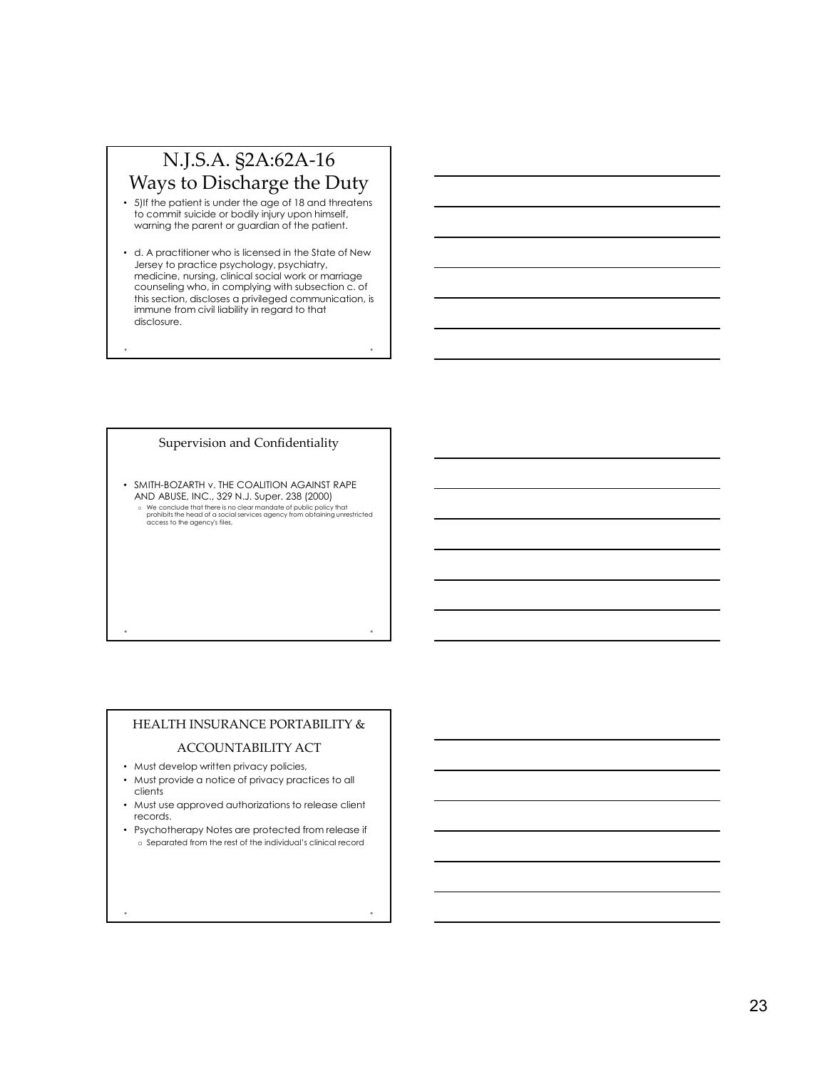# N.J.S.A. §2A:62A-16 Ways to Discharge the Duty

- 5) If the patient is under the age of 18 and threatens to commit suicide or bodily injury upon himself, warning the parent or guardian of the patient.
- d. A practitioner who is licensed in the State of New Jersey to practice psychology, psychiatry, medicine, nursing, clinical social work or marriage counseling who, in complying with subsection c. of this section, discloses a privileged communication, is immune from civil liability in regard to that disclosure.

### Supervision and Confidentiality

• SMITH-BOZARTH v. THE COALITION AGAINST RAPE AND ABUSE, INC., 329 N.J. Super. 238 (2000) o We conclude that there is no clear mandate of public policy that<br>prohibits the head of a social services agency from obtaining unrestricted and a social service and a social s<br>access to the agency's files, and a social s

### HEALTH INSURANCE PORTABILITY &

### ACCOUNTABILITY ACT

- Must develop written privacy policies,
- Must provide a notice of privacy practices to all clients
- Must use approved authorizations to release client records.
- Psychotherapy Notes are protected from release if o Separated from the rest of the individual's clinical record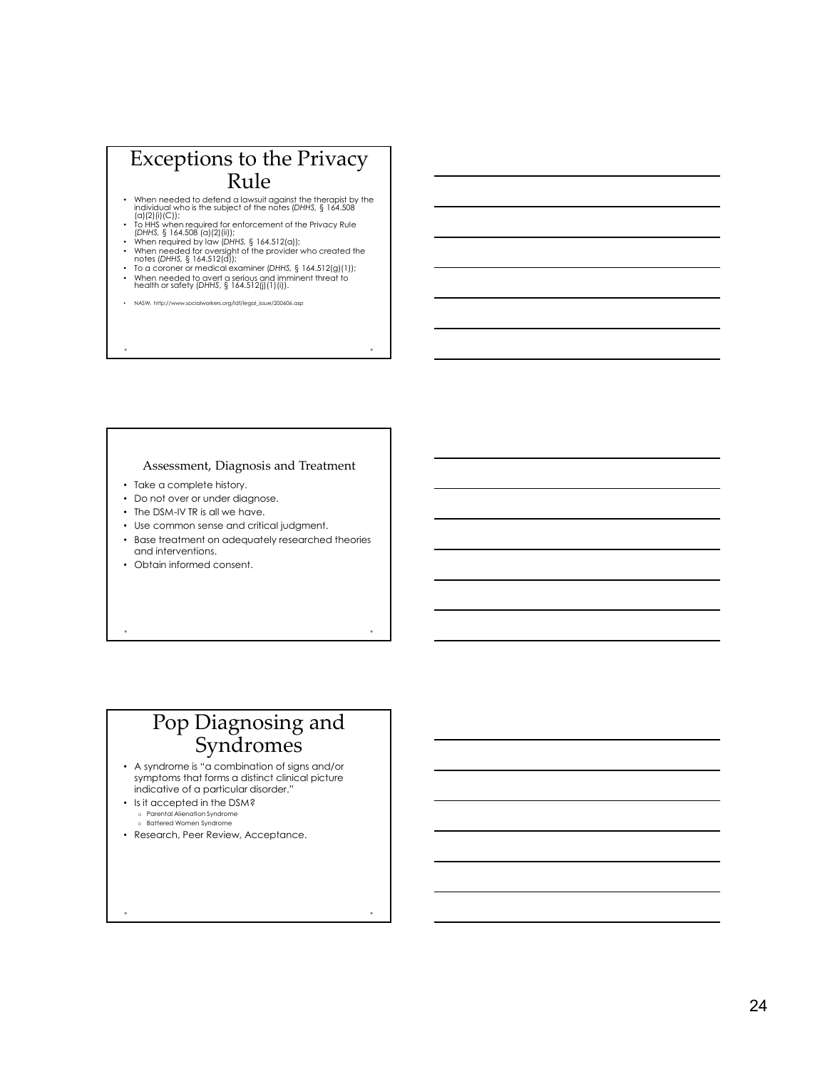# Exceptions to the Privacy Rule Exceptions to the Privacy<br>
Rule<br>
when needed to defend a layouth against the therapist by the<br>
radiation who is the subject of the note (DHHS, § 164.508<br>
(a)(2)(i); • Subject of the notes (DHHS, § 164.508<br>
when required f Exceptions to the Privacy<br>
Rule<br>  $\frac{1}{2}$ <br>  $\frac{1}{2}$ <br>  $\frac{1}{2}$ <br>  $\frac{1}{2}$ <br>  $\frac{1}{2}$ <br>  $\frac{1}{2}$ <br>  $\frac{1}{2}$ <br>  $\frac{1}{2}$ <br>  $\frac{1}{2}$ <br>  $\frac{1}{2}$ <br>  $\frac{1}{2}$ <br>  $\frac{1}{2}$ <br>  $\frac{1}{2}$ <br>  $\frac{1}{2}$ <br>  $\frac{1}{2}$ <br>  $\frac{1}{2}$ <br>  $\frac{1}{2}$ <br> Exceptions to the Privacy<br>
Rule<br>
when needed to detend on the main phenomenon<br>
conditions are also to the main of the main phenomenon<br>  $\frac{1}{2}$  in the same condition of the privacy side<br>
when required by too theirs, § 16

- When needed to defend a lawsuit against the therapist by the individual who is the subject of the notes (DHHS, § 164.508 (a) (2) (ii)(2)(ii));<br>(b) (2) (ii)(2)(ii)(2); (iii)(3) (iii)(3) (iii)(3) (iii)(3) (iii)(3) (iii)(3)
- 
- 
- 
- 
- 

### Assessment, Diagnosis and Treatment

- Take a complete history.
- Do not over or under diagnose.
- The DSM-IV TR is all we have.
- Use common sense and critical judgment.
- Base treatment on adequately researched theories and interventions.
- Obtain informed consent.

# Pop Diagnosing and Syndromes

- A syndrome is "a combination of signs and/or symptoms that forms a distinct clinical picture indicative of a particular disorder."
- Is it accepted in the DSM? o Parental Alienation Syndrome o Battered Women Syndrome
- Research, Peer Review, Acceptance.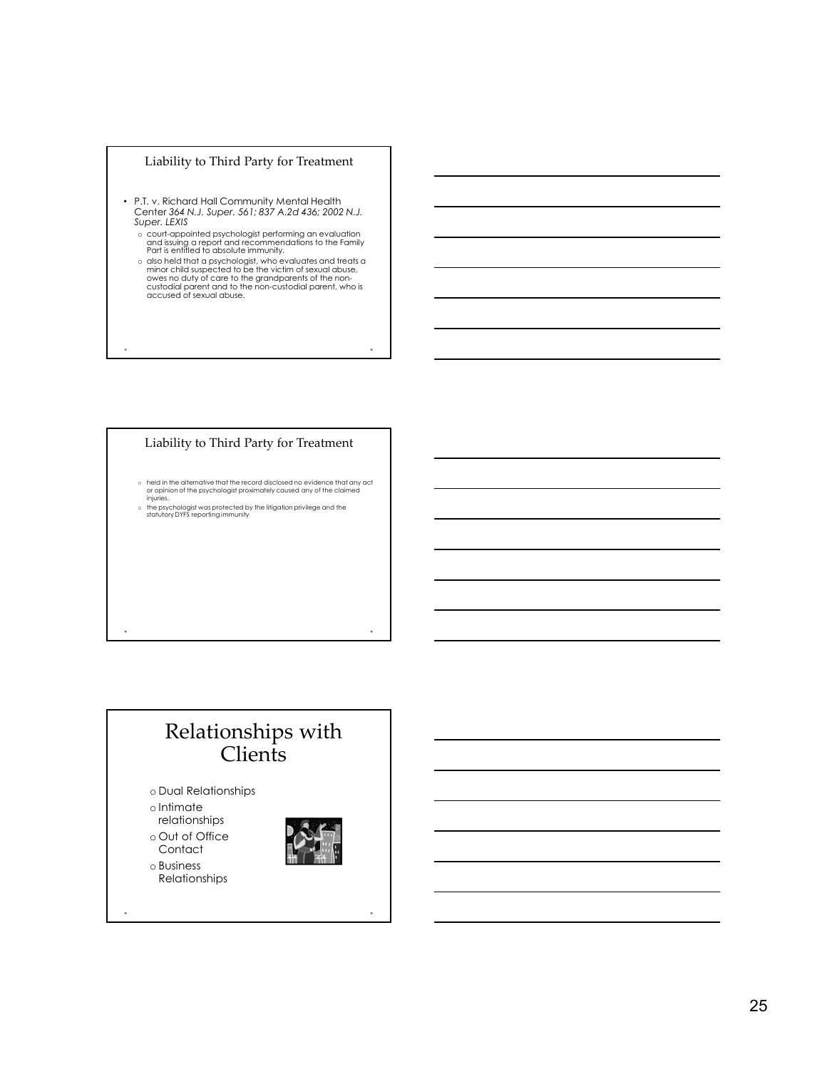

- P.T. v. Richard Hall Community Mental Health Super. LEXIS
	-
- Liability to Third Party for Treatment<br>
P.T. v. Richard Hall Community Mental Health<br>
Super. 564 N.J. Super. 561; 837 A.2d 436; 2002 N.J.<br>
Super. LEXIS<br>
Super. LEXIS<br>
on the proper discussion and experimental particular<br>
o c court-appointed psychologist performing an evaluation<br>and issuing a report and recommendations to the Family<br>Part is entitled to absolute immunity.<br>a clso held that a psychologist, who evaluates and treats a<br>minor child

### Liability to Third Party for Treatment

- o held in the alternative that the record disclosed no evidence that any act<br>or opinion of the psychologist proximately caused any of the claimed<br>injuries.<br>the psychologist was protected by the litigation privilege and the
- 

# Relationships with Clients

- o Dual Relationships
- o Intimate
- relationships
- o Out of Office **Contact**
- o Business
- Relationships

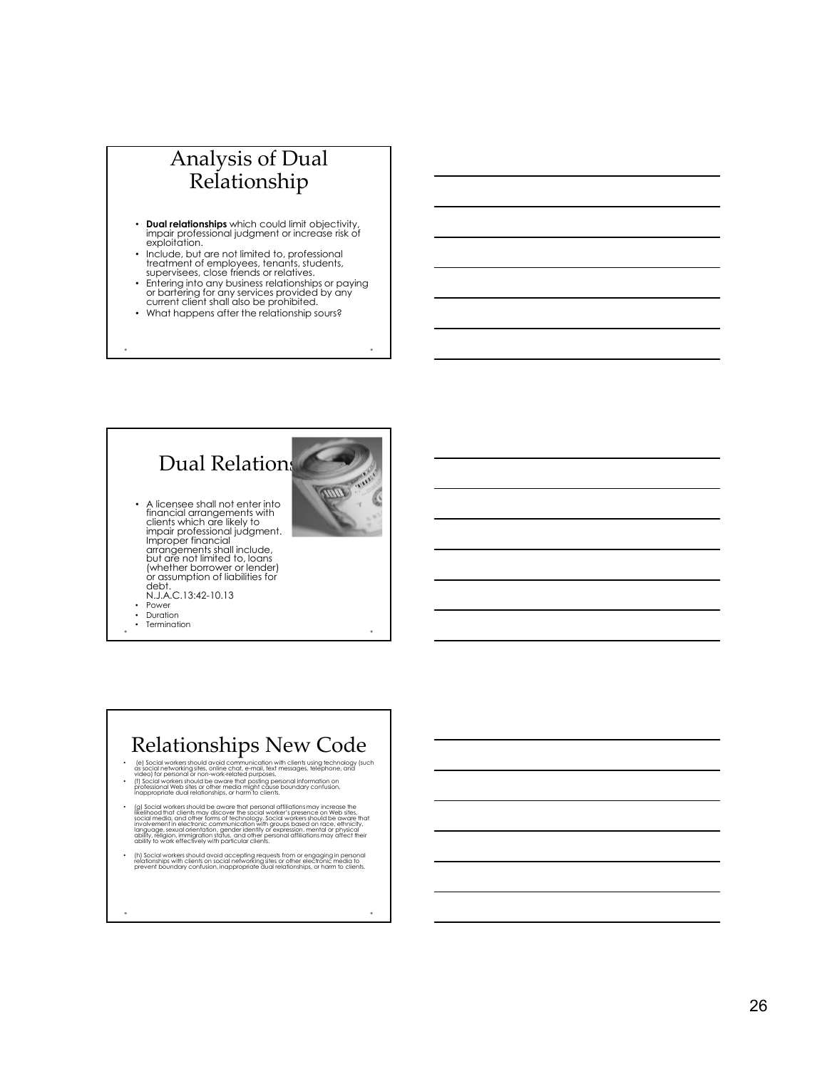# Analysis of Dual Relationship **Analysis of Dual Relationship<br>Relationships which could limit objectivity, imput relationships which could limit objectivity, exploitation, and the metal limit of professional purposes, tengths, students, students, studen**

- Dual relationships which could limit objectivity, impair professional judgment or increase risk of exploitation.
- Include, but are not limited to, professional treatment of employees, tenants, students, supervisees, close friends or relatives.<br>supervisees, close friends or relatives.<br>• Entering into any business relationships or paying
- or bartering for any services provided by any current client shall also be prohibited.
- What happens after the relationship sours?



# Relationships New Code

- (e) Social workers should avoid communication with clients using technology (such<br>as social networking sites, online chat, e-mail, text messages, telephone, and<br>video) for personal or non-work-related purposes.
- (f) Social workers should be aware that posting personal information on<br>professional Web sites or other media might cause boundary confusion,<br>inappropriate dual relationships, or harm to clients.
- " (all Social workers should be aware that personal affiliations may increase the<br>likelihood that clients may discover the social worker's presence on Web sites,<br>social media, and other torms of technology, social workers
- (h) Social workers should avoid accepting requests from or engaging in personal<br>relationships with clients on social networking sites or other electronic media to<br>prevent boundary confusion, inappropriate dual relationship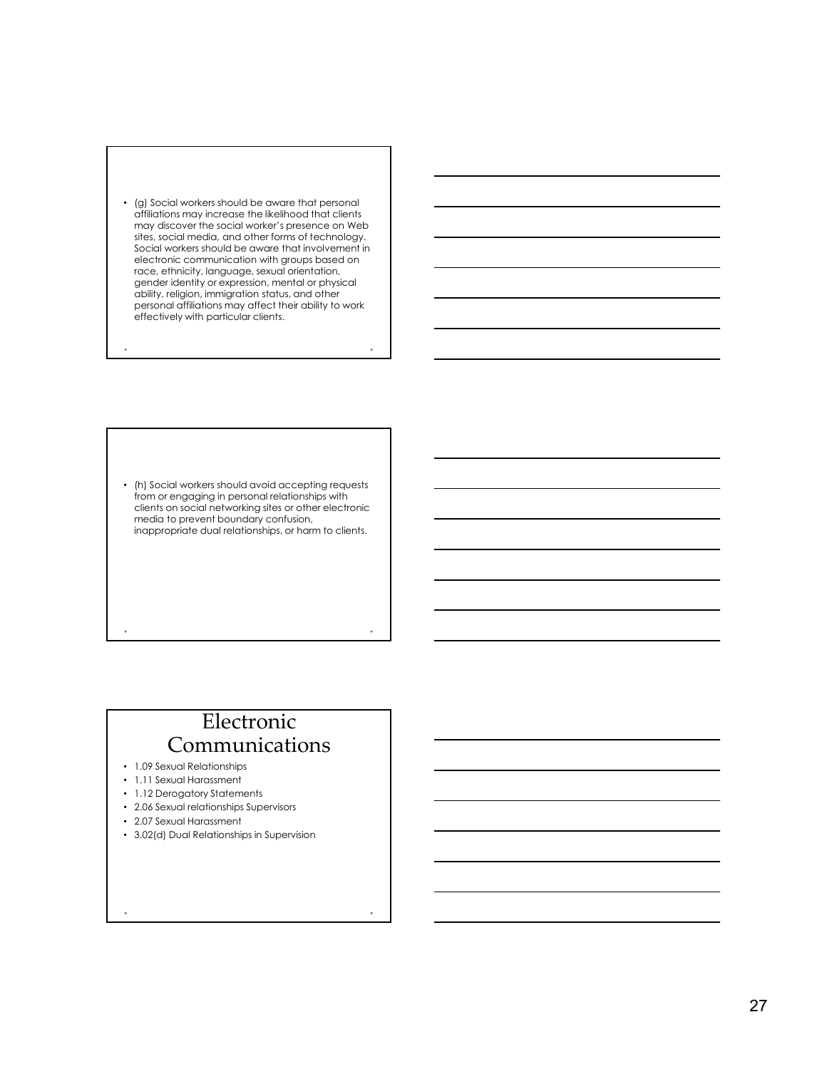

• (h) Social workers should avoid accepting requests from or engaging in personal relationships with clients on social networking sites or other electronic media to prevent boundary confusion, inappropriate dual relationships, or harm to clients.

# Electronic Communications

Prohibitions include

- 1.09 Sexual Relationships
- 1.11 Sexual Harassment
- 1.12 Derogatory Statements
- 2.06 Sexual relationships Supervisors
- 2.07 Sexual Harassment
- 3.02(d) Dual Relationships in Supervision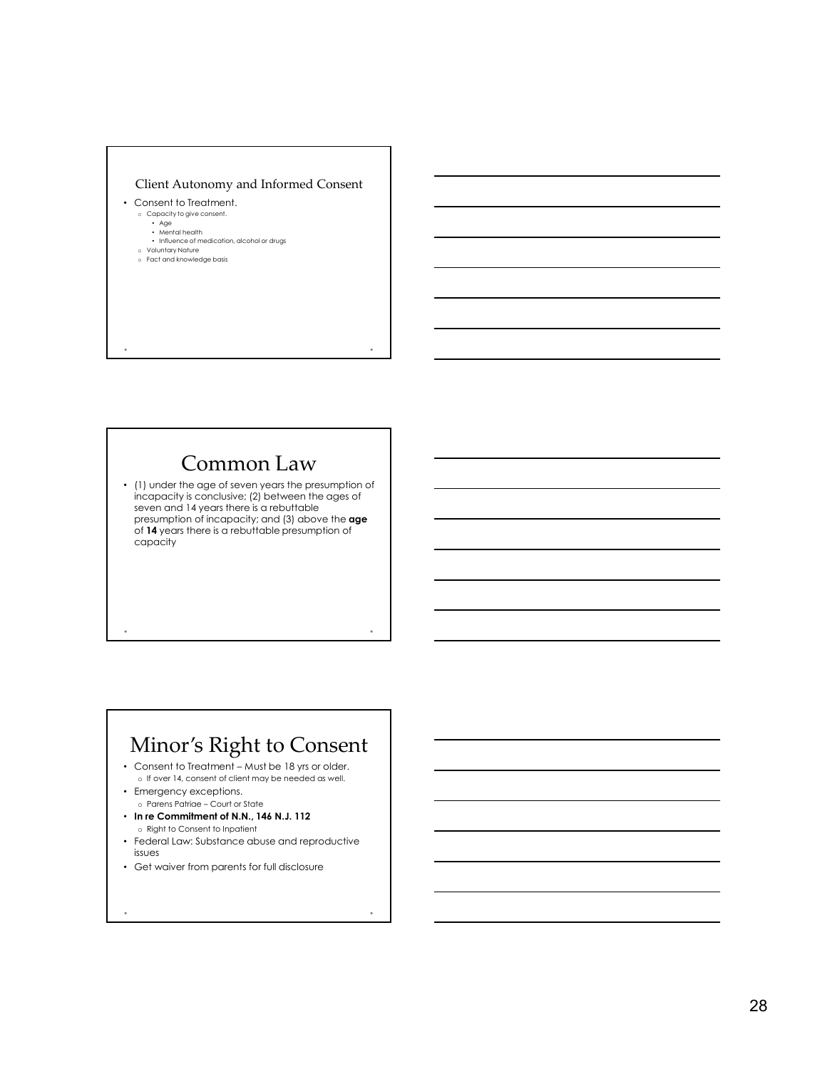

# Common Law

• (1) under the age of seven years the presumption of incapacity is conclusive; (2) between the ages of seven and 14 years there is a rebuttable presumption of incapacity; and (3) above the age of 14 years there is a rebuttable presumption of capacity • Consert to Treatment to Treatment Court of Client may be needed as well.<br>
In the 18 years there is created as consent of consent of client<br>
of Mayers there is a resultable presumption of<br>
exceptions. On If over 14, conse

# Minor's Right to Consent

- 
- 
- In re Commitment of N.N., 146 N.J. 112 o Right to Consent to Inpatient
- Federal Law: Substance abuse and reproductive issues
- Get waiver from parents for full disclosure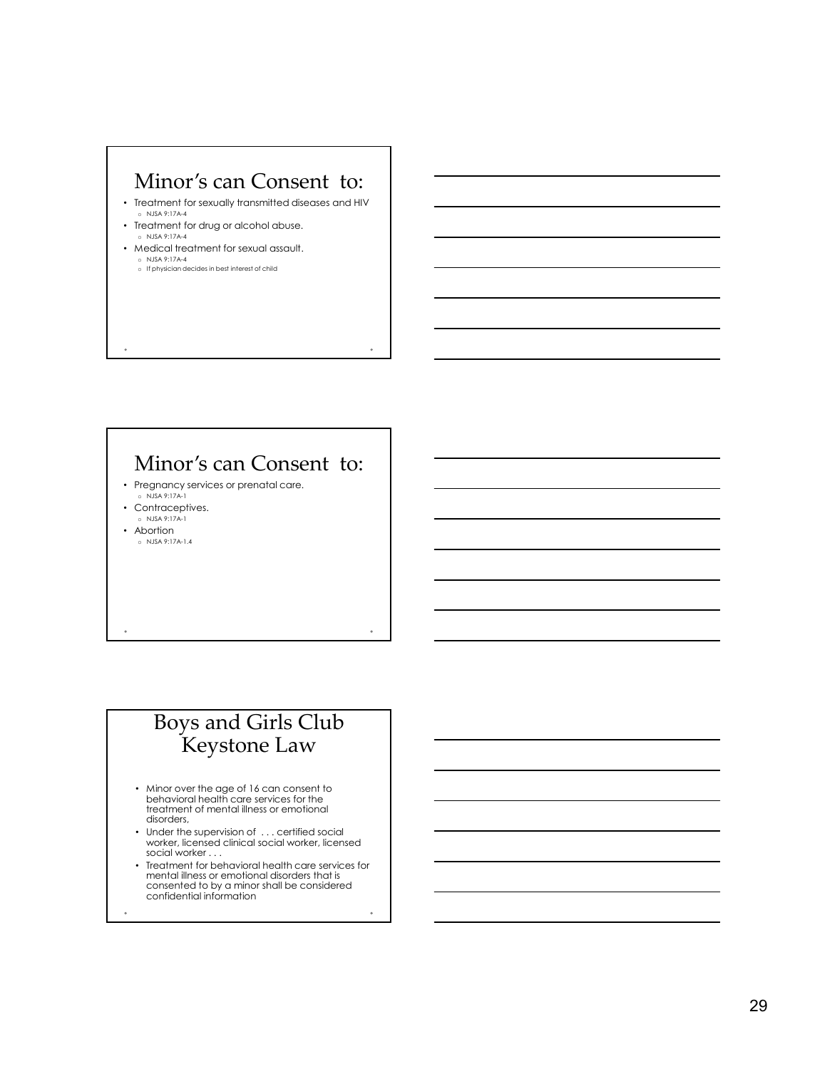# Minor's can Consent to:

- Treatment for sexually transmitted diseases and HIV o NJSA 9:17A-4
- Treatment for drug or alcohol abuse. o NJSA 9:17A-4
- Medical treatment for sexual assault. o NJSA 9:17A-4 o If physician decides in best interest of child

# Minor's can Consent to:

- Pregnancy services or prenatal care. o NJSA 9:17A-1
- Contraceptives.
- o NJSA 9:17A-1 • Abortion
- o NJSA 9:17A-1.4

# Boys and Girls Club Keystone Law

- Minor over the age of 16 can consent to behavioral health care services for the treatment of mental illness or emotional disorders,
- Under the supervision of ... certified social worker, licensed clinical social worker, licensed social worker . . .
- Treatment for behavioral health care services for mental illness or emotional disorders that is consented to by a minor shall be considered confidential information
-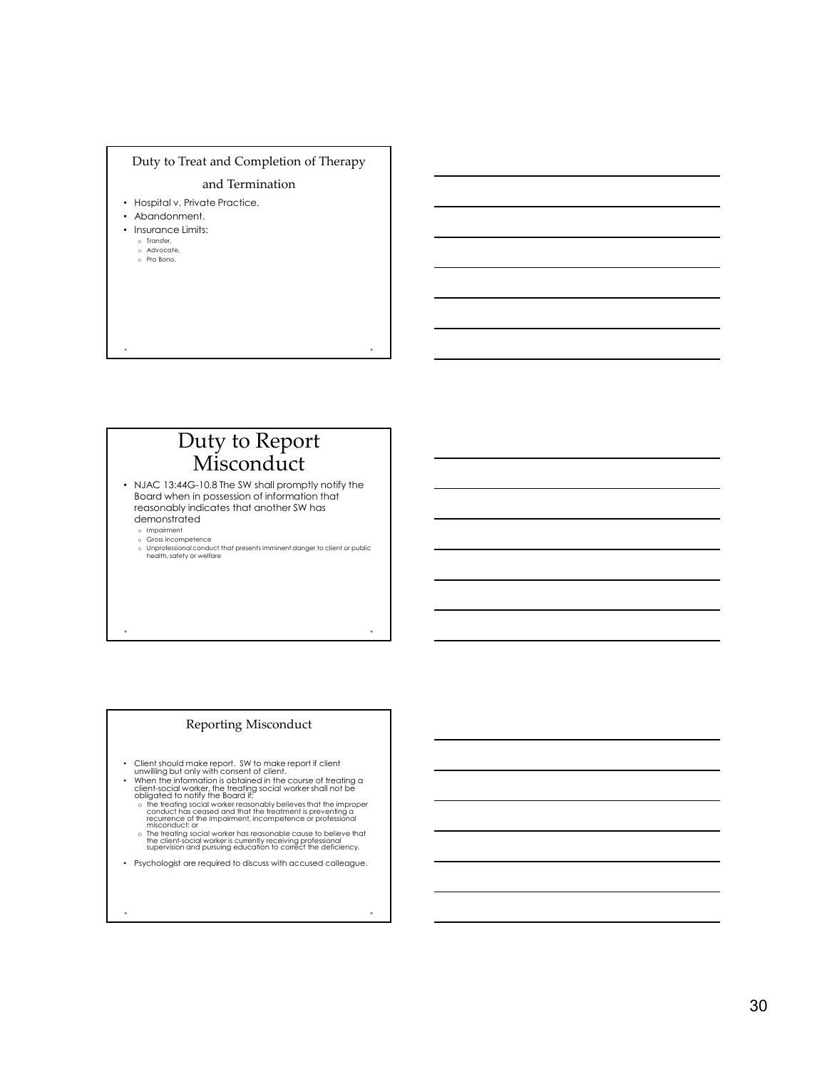

# Duty to Report Misconduct

• NJAC 13:44G-10.8 The SW shall promptly notify the Board when in possession of information that reasonably indicates that another SW has demonstrated

o Impairment<br>o Gross incompetence

o Gross incompetence<br>o Unprofessional conduct that presents imminent danger to client or public health, safety or welfare<br>health, safety or welfare

### Reporting Misconduct

- 
- 
- Client should make report. SW to make report if client<br>• unwilling but only with consent of client.<br>• When the information is obtained in the course of treating a<br>client-social worker, the treating social worker shall no
	- o The treating social worker has reasonable cause to believe that<br>the client-social worker is currently receiving professional<br>supervision and pursuing education to correct the deficiency.
- Psychologist are required to discuss with accused colleague.